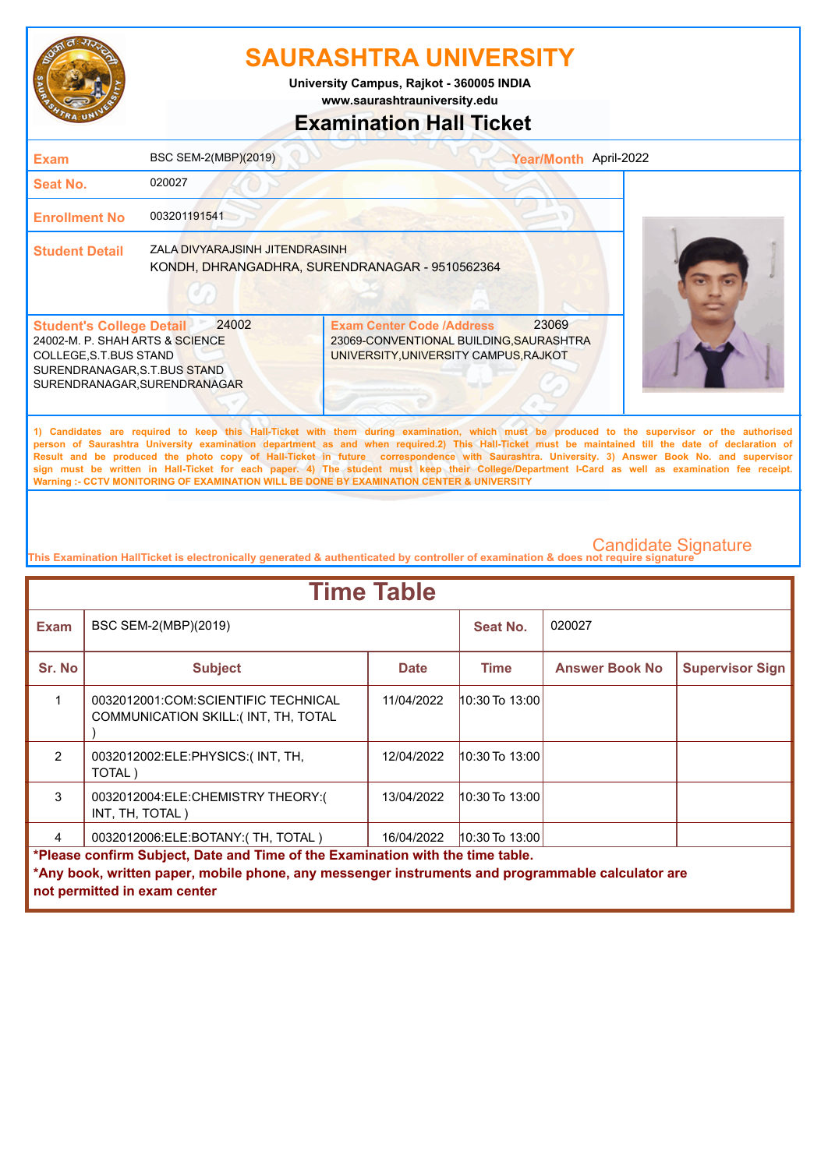

**www.saurashtrauniversity.edu University Campus, Rajkot - 360005 INDIA**

## **Examination Hall Ticket**

| Exam                                                                                                                                                          | BSC SEM-2(MBP)(2019)           |                                                                                                                               | Year/Month April-2022                                                                                                                                                                                                                                                                                                                                                                                                                                                                                                                                                                                  |
|---------------------------------------------------------------------------------------------------------------------------------------------------------------|--------------------------------|-------------------------------------------------------------------------------------------------------------------------------|--------------------------------------------------------------------------------------------------------------------------------------------------------------------------------------------------------------------------------------------------------------------------------------------------------------------------------------------------------------------------------------------------------------------------------------------------------------------------------------------------------------------------------------------------------------------------------------------------------|
| Seat No.                                                                                                                                                      | 020027                         |                                                                                                                               |                                                                                                                                                                                                                                                                                                                                                                                                                                                                                                                                                                                                        |
| <b>Enrollment No</b>                                                                                                                                          | 003201191541                   |                                                                                                                               |                                                                                                                                                                                                                                                                                                                                                                                                                                                                                                                                                                                                        |
| <b>Student Detail</b>                                                                                                                                         | ZALA DIVYARAJSINH JITENDRASINH | KONDH, DHRANGADHRA, SURENDRANAGAR - 9510562364                                                                                |                                                                                                                                                                                                                                                                                                                                                                                                                                                                                                                                                                                                        |
| <b>Student's College Detail</b><br>24002-M. P. SHAH ARTS & SCIENCE<br>COLLEGE, S.T. BUS STAND<br>SURENDRANAGAR, S.T.BUS STAND<br>SURENDRANAGAR, SURENDRANAGAR | 24002                          | 23069<br><b>Exam Center Code /Address</b><br>23069-CONVENTIONAL BUILDING, SAURASHTRA<br>UNIVERSITY, UNIVERSITY CAMPUS, RAJKOT |                                                                                                                                                                                                                                                                                                                                                                                                                                                                                                                                                                                                        |
|                                                                                                                                                               |                                |                                                                                                                               | 1) Candidates are required to keep this Hall-Ticket with them during examination, which must be produced to the supervisor or the authorised<br>person of Saurashtra University examination department as and when required.2) This Hall-Ticket must be maintained till the date of declaration of<br>Result and be produced the photo copy of Hall-Ticket in future correspondence with Saurashtra. University. 3) Answer Book No. and supervisor<br>sign must be written in Hall-Ticket for each paper. 4) The student must keep their College/Department I-Card as well as examination fee receipt. |

**This Examination HallTicket is electronically generated & authenticated by controller of examination & does not require signature** 

**Warning :- CCTV MONITORING OF EXAMINATION WILL BE DONE BY EXAMINATION CENTER & UNIVERSITY**

| <b>Time Table</b>                                                              |                                                                                                   |             |                    |                       |                        |  |
|--------------------------------------------------------------------------------|---------------------------------------------------------------------------------------------------|-------------|--------------------|-----------------------|------------------------|--|
| <b>Exam</b>                                                                    | BSC SEM-2(MBP)(2019)                                                                              |             | Seat No.           | 020027                |                        |  |
| Sr. No                                                                         | <b>Subject</b>                                                                                    | <b>Date</b> | Time               | <b>Answer Book No</b> | <b>Supervisor Sign</b> |  |
|                                                                                | 0032012001:COM:SCIENTIFIC TECHNICAL<br>COMMUNICATION SKILL: (INT, TH, TOTAL                       | 11/04/2022  | 10:30 To 13:00     |                       |                        |  |
| $\mathcal{P}$                                                                  | 0032012002:ELE:PHYSICS:(INT, TH,<br>TOTAL)                                                        | 12/04/2022  | $10:30$ To $13:00$ |                       |                        |  |
| 3                                                                              | 0032012004:ELE:CHEMISTRY THEORY:(<br>INT, TH, TOTAL)                                              | 13/04/2022  | $10:30$ To $13:00$ |                       |                        |  |
| 4                                                                              | 0032012006:ELE:BOTANY:(TH, TOTAL)<br>$10:30$ To 13:00<br>16/04/2022                               |             |                    |                       |                        |  |
| *Please confirm Subject, Date and Time of the Examination with the time table. |                                                                                                   |             |                    |                       |                        |  |
|                                                                                | *Any book, written paper, mobile phone, any messenger instruments and programmable calculator are |             |                    |                       |                        |  |
|                                                                                | not permitted in exam center                                                                      |             |                    |                       |                        |  |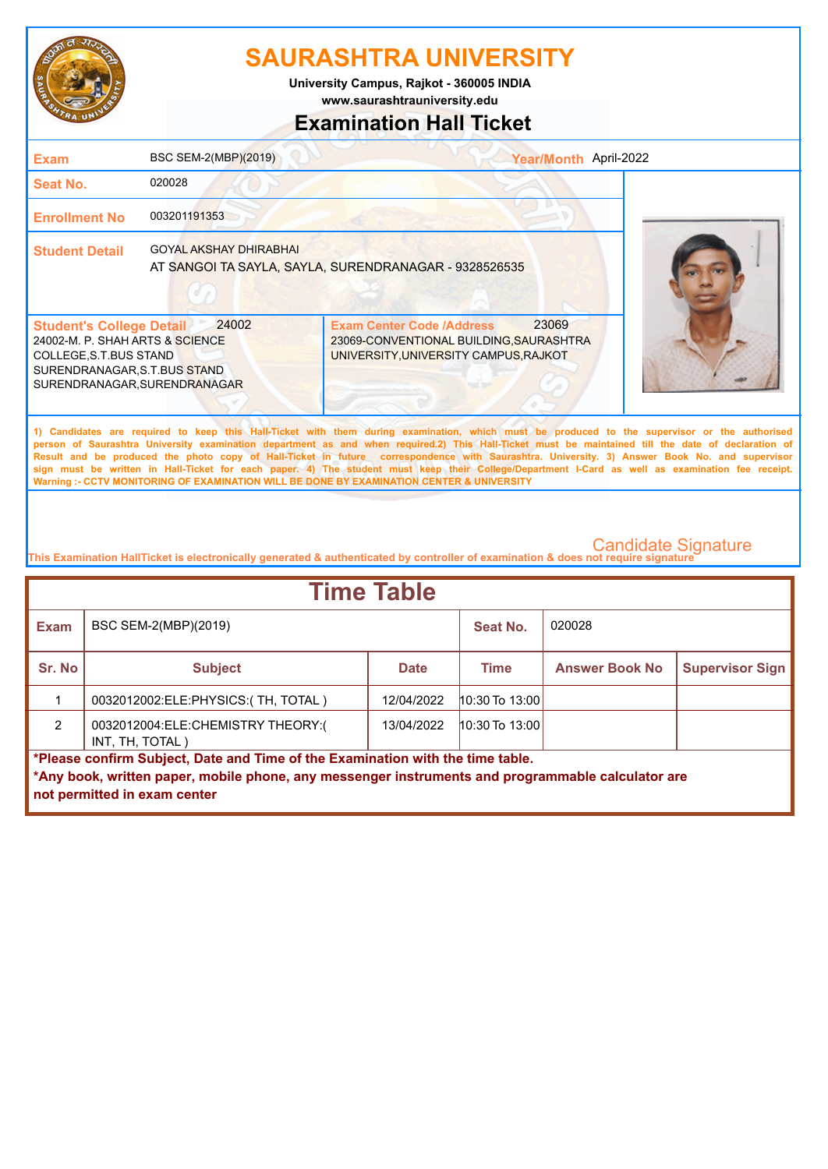

**University Campus, Rajkot - 360005 INDIA**

**www.saurashtrauniversity.edu**

### **Examination Hall Ticket**

| <b>Exam</b>                                                                                                                                                  | BSC SEM-2(MBP)(2019)          | Year/Month April-2022                                                                                                                                                                                                                                                                                                                                                                                                                                                                                                                                                                                                                                                                               |  |
|--------------------------------------------------------------------------------------------------------------------------------------------------------------|-------------------------------|-----------------------------------------------------------------------------------------------------------------------------------------------------------------------------------------------------------------------------------------------------------------------------------------------------------------------------------------------------------------------------------------------------------------------------------------------------------------------------------------------------------------------------------------------------------------------------------------------------------------------------------------------------------------------------------------------------|--|
| Seat No.                                                                                                                                                     | 020028                        |                                                                                                                                                                                                                                                                                                                                                                                                                                                                                                                                                                                                                                                                                                     |  |
| <b>Enrollment No</b>                                                                                                                                         | 003201191353                  |                                                                                                                                                                                                                                                                                                                                                                                                                                                                                                                                                                                                                                                                                                     |  |
| <b>Student Detail</b>                                                                                                                                        | <b>GOYAL AKSHAY DHIRABHAI</b> | AT SANGOI TA SAYLA, SAYLA, SURENDRANAGAR - 9328526535                                                                                                                                                                                                                                                                                                                                                                                                                                                                                                                                                                                                                                               |  |
| <b>Student's College Detail</b><br>24002-M. P. SHAH ARTS & SCIENCE<br>COLLEGE, S.T.BUS STAND<br>SURENDRANAGAR, S.T.BUS STAND<br>SURENDRANAGAR, SURENDRANAGAR | 24002                         | 23069<br><b>Exam Center Code /Address</b><br>23069-CONVENTIONAL BUILDING, SAURASHTRA<br>UNIVERSITY, UNIVERSITY CAMPUS, RAJKOT                                                                                                                                                                                                                                                                                                                                                                                                                                                                                                                                                                       |  |
|                                                                                                                                                              |                               | 1) Candidates are required to keep this Hall-Ticket with them during examination, which must be produced to the supervisor or the authorised<br>person of Saurashtra University examination department as and when required.2) This Hall-Ticket must be maintained till the date of declaration of<br>Result and be produced the photo copy of Hall-Ticket in future correspondence with Saurashtra. University. 3) Answer Book No. and supervisor<br>sign must be written in Hall-Ticket for each paper. 4) The student must keep their College/Department I-Card as well as examination fee receipt.<br>Warning :- CCTV MONITORING OF EXAMINATION WILL BE DONE BY EXAMINATION CENTER & UNIVERSITY |  |

| <b>Time Table</b>                                                              |                                                                                                   |             |                       |                        |  |
|--------------------------------------------------------------------------------|---------------------------------------------------------------------------------------------------|-------------|-----------------------|------------------------|--|
| <b>Exam</b>                                                                    | BSC SEM-2(MBP)(2019)                                                                              |             | Seat No.              | 020028                 |  |
| Sr. No                                                                         | <b>Subject</b>                                                                                    | <b>Time</b> | <b>Answer Book No</b> | <b>Supervisor Sign</b> |  |
|                                                                                | 0032012002:ELE:PHYSICS:(TH, TOTAL)                                                                | 12/04/2022  | $10:30$ To 13:00      |                        |  |
| $\mathcal{P}$                                                                  | 0032012004:ELE:CHEMISTRY THEORY:(<br>INT, TH, TOTAL)                                              | 13/04/2022  | $10:30$ To 13:00      |                        |  |
| *Please confirm Subject, Date and Time of the Examination with the time table. |                                                                                                   |             |                       |                        |  |
|                                                                                | *Any book, written paper, mobile phone, any messenger instruments and programmable calculator are |             |                       |                        |  |
|                                                                                | not permitted in exam center                                                                      |             |                       |                        |  |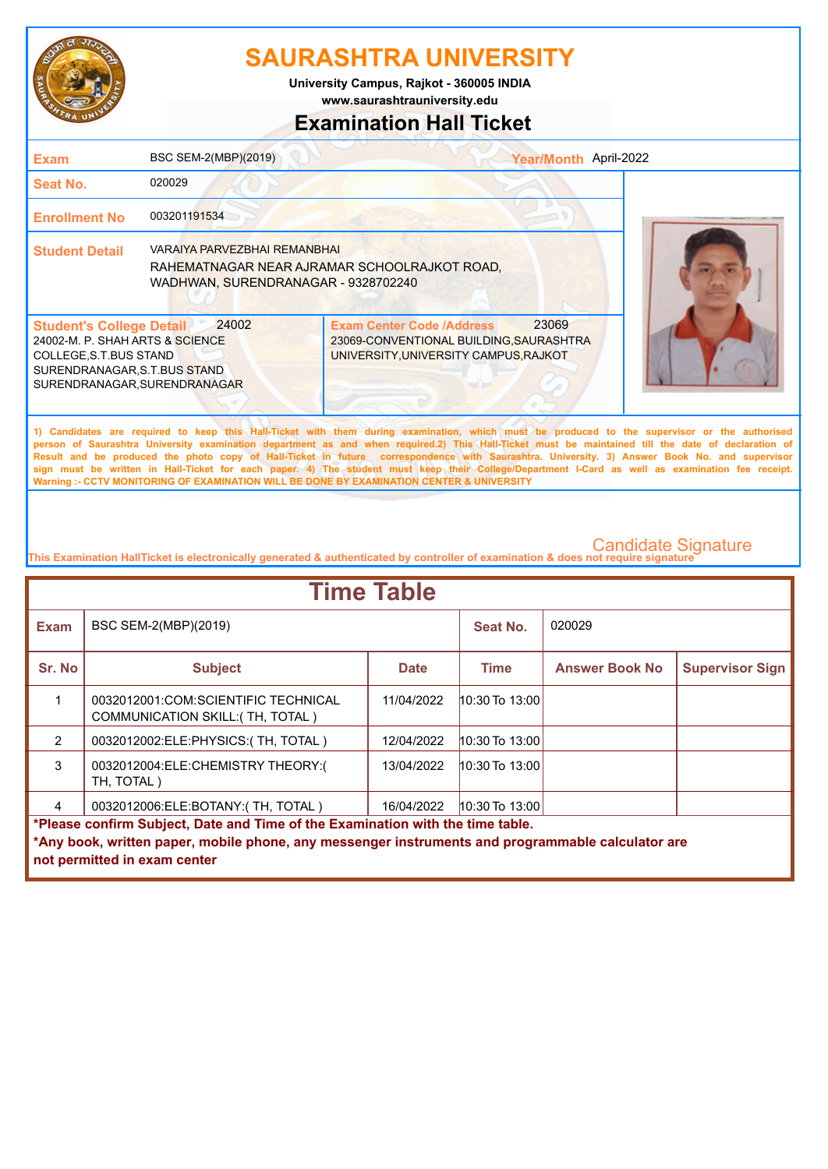

**www.saurashtrauniversity.edu University Campus, Rajkot - 360005 INDIA**

## **Examination Hall Ticket**

| <b>Exam</b>                                                                                                                                                  | BSC SEM-2(MBP)(2019)                                                       |                                                                                                                                                                                                                                                                                                                                                                                                                                                                                                                                                                                                                                                                                                     | Year/Month April-2022 |
|--------------------------------------------------------------------------------------------------------------------------------------------------------------|----------------------------------------------------------------------------|-----------------------------------------------------------------------------------------------------------------------------------------------------------------------------------------------------------------------------------------------------------------------------------------------------------------------------------------------------------------------------------------------------------------------------------------------------------------------------------------------------------------------------------------------------------------------------------------------------------------------------------------------------------------------------------------------------|-----------------------|
| Seat No.                                                                                                                                                     | 020029                                                                     |                                                                                                                                                                                                                                                                                                                                                                                                                                                                                                                                                                                                                                                                                                     |                       |
| <b>Enrollment No</b>                                                                                                                                         | 003201191534                                                               |                                                                                                                                                                                                                                                                                                                                                                                                                                                                                                                                                                                                                                                                                                     |                       |
| <b>Student Detail</b>                                                                                                                                        | <b>VARAIYA PARVEZBHAI REMANBHAI</b><br>WADHWAN, SURENDRANAGAR - 9328702240 | RAHEMATNAGAR NEAR AJRAMAR SCHOOLRAJKOT ROAD,                                                                                                                                                                                                                                                                                                                                                                                                                                                                                                                                                                                                                                                        |                       |
| <b>Student's College Detail</b><br>24002-M. P. SHAH ARTS & SCIENCE<br>COLLEGE, S.T.BUS STAND<br>SURENDRANAGAR, S.T.BUS STAND<br>SURENDRANAGAR, SURENDRANAGAR | 24002                                                                      | 23069<br><b>Exam Center Code /Address</b><br>23069-CONVENTIONAL BUILDING, SAURASHTRA<br>UNIVERSITY, UNIVERSITY CAMPUS, RAJKOT                                                                                                                                                                                                                                                                                                                                                                                                                                                                                                                                                                       |                       |
|                                                                                                                                                              |                                                                            | 1) Candidates are required to keep this Hall-Ticket with them during examination, which must be produced to the supervisor or the authorised<br>person of Saurashtra University examination department as and when required.2) This Hall-Ticket must be maintained till the date of declaration of<br>Result and be produced the photo copy of Hall-Ticket in future correspondence with Saurashtra. University. 3) Answer Book No. and supervisor<br>sign must be written in Hall-Ticket for each paper. 4) The student must keep their College/Department I-Card as well as examination fee receipt.<br>Warning :- CCTV MONITORING OF EXAMINATION WILL BE DONE BY EXAMINATION CENTER & UNIVERSITY |                       |

| <b>Time Table</b>                                                                                                                                                                                                   |                                                                         |             |                    |                       |                        |  |
|---------------------------------------------------------------------------------------------------------------------------------------------------------------------------------------------------------------------|-------------------------------------------------------------------------|-------------|--------------------|-----------------------|------------------------|--|
| <b>Exam</b>                                                                                                                                                                                                         | BSC SEM-2(MBP)(2019)                                                    |             | Seat No.           | 020029                |                        |  |
| Sr. No                                                                                                                                                                                                              | <b>Subject</b>                                                          | <b>Date</b> | <b>Time</b>        | <b>Answer Book No</b> | <b>Supervisor Sign</b> |  |
| 1                                                                                                                                                                                                                   | 0032012001:COM:SCIENTIFIC TECHNICAL<br>COMMUNICATION SKILL: (TH, TOTAL) | 11/04/2022  | $10:30$ To $13:00$ |                       |                        |  |
| $\mathfrak{p}$                                                                                                                                                                                                      | 0032012002:ELE:PHYSICS:(TH, TOTAL)                                      | 12/04/2022  | $10:30$ To $13:00$ |                       |                        |  |
| 3                                                                                                                                                                                                                   | 0032012004:ELE:CHEMISTRY THEORY:(<br>TH, TOTAL)                         | 13/04/2022  | $10:30$ To $13:00$ |                       |                        |  |
| 4                                                                                                                                                                                                                   | 0032012006:ELE:BOTANY:(TH, TOTAL)                                       | 16/04/2022  | $10:30$ To 13:00   |                       |                        |  |
| *Please confirm Subject, Date and Time of the Examination with the time table.<br>*Any book, written paper, mobile phone, any messenger instruments and programmable calculator are<br>not permitted in exam center |                                                                         |             |                    |                       |                        |  |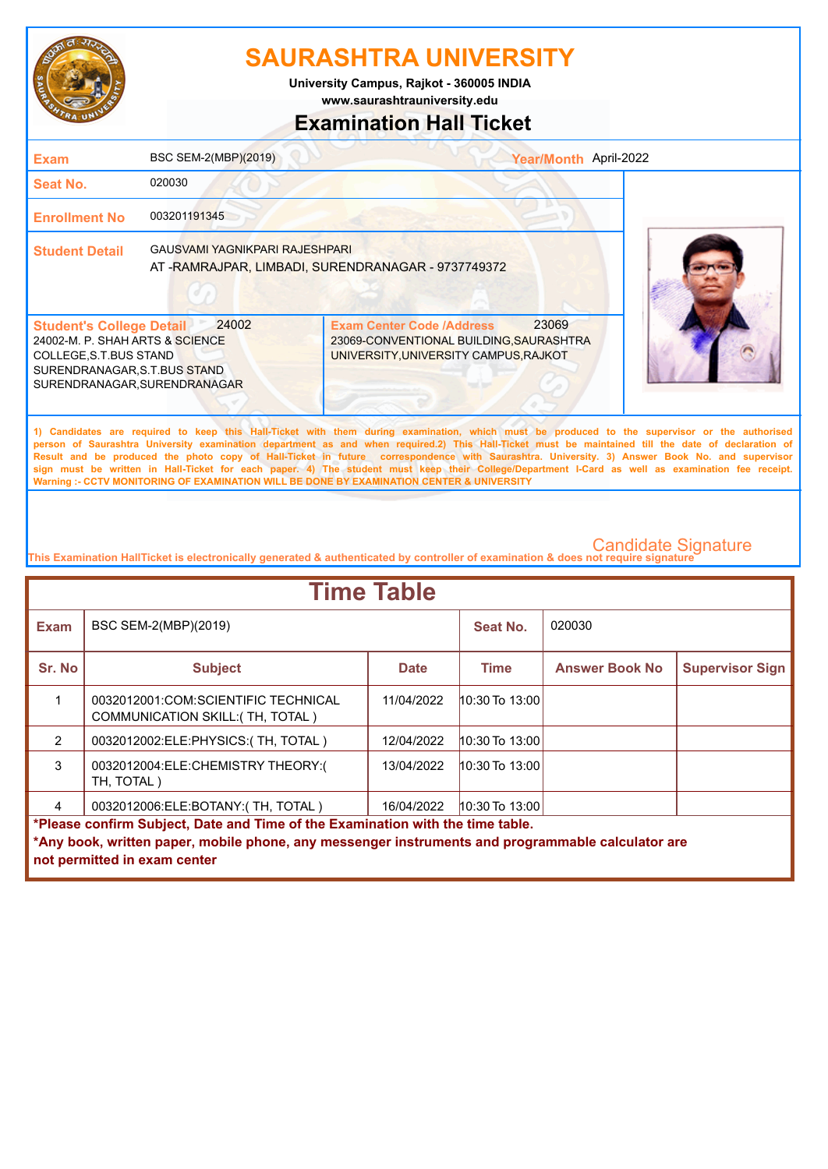

**University Campus, Rajkot - 360005 INDIA**

**www.saurashtrauniversity.edu**

## **Examination Hall Ticket**

| <b>Exam</b>                                                                                                                                                  | BSC SEM-2(MBP)(2019)           |                                                                                                                               | Year/Month April-2022                                                                                                                                                                                                                                                                                                                                                                                                                                                                                                                                                                                  |
|--------------------------------------------------------------------------------------------------------------------------------------------------------------|--------------------------------|-------------------------------------------------------------------------------------------------------------------------------|--------------------------------------------------------------------------------------------------------------------------------------------------------------------------------------------------------------------------------------------------------------------------------------------------------------------------------------------------------------------------------------------------------------------------------------------------------------------------------------------------------------------------------------------------------------------------------------------------------|
| Seat No.                                                                                                                                                     | 020030                         |                                                                                                                               |                                                                                                                                                                                                                                                                                                                                                                                                                                                                                                                                                                                                        |
| <b>Enrollment No</b>                                                                                                                                         | 003201191345                   |                                                                                                                               |                                                                                                                                                                                                                                                                                                                                                                                                                                                                                                                                                                                                        |
| <b>Student Detail</b>                                                                                                                                        | GAUSVAMI YAGNIKPARI RAJESHPARI | AT -RAMRAJPAR, LIMBADI, SURENDRANAGAR - 9737749372                                                                            |                                                                                                                                                                                                                                                                                                                                                                                                                                                                                                                                                                                                        |
| <b>Student's College Detail</b><br>24002-M. P. SHAH ARTS & SCIENCE<br>COLLEGE, S.T.BUS STAND<br>SURENDRANAGAR, S.T.BUS STAND<br>SURENDRANAGAR, SURENDRANAGAR | 24002                          | 23069<br><b>Exam Center Code /Address</b><br>23069-CONVENTIONAL BUILDING, SAURASHTRA<br>UNIVERSITY, UNIVERSITY CAMPUS, RAJKOT |                                                                                                                                                                                                                                                                                                                                                                                                                                                                                                                                                                                                        |
|                                                                                                                                                              |                                | Warning :- CCTV MONITORING OF EXAMINATION WILL BE DONE BY EXAMINATION CENTER & UNIVERSITY                                     | 1) Candidates are required to keep this Hall-Ticket with them during examination, which must be produced to the supervisor or the authorised<br>person of Saurashtra University examination department as and when required.2) This Hall-Ticket must be maintained till the date of declaration of<br>Result and be produced the photo copy of Hall-Ticket in future correspondence with Saurashtra. University. 3) Answer Book No. and supervisor<br>sign must be written in Hall-Ticket for each paper. 4) The student must keep their College/Department I-Card as well as examination fee receipt. |

| <b>Time Table</b>                                                              |                                                                                                                                   |             |                    |                       |                        |  |
|--------------------------------------------------------------------------------|-----------------------------------------------------------------------------------------------------------------------------------|-------------|--------------------|-----------------------|------------------------|--|
| <b>Exam</b>                                                                    | BSC SEM-2(MBP)(2019)                                                                                                              |             | Seat No.           | 020030                |                        |  |
| Sr. No                                                                         | <b>Subject</b>                                                                                                                    | <b>Date</b> | <b>Time</b>        | <b>Answer Book No</b> | <b>Supervisor Sign</b> |  |
|                                                                                | 0032012001:COM:SCIENTIFIC TECHNICAL<br>COMMUNICATION SKILL: (TH, TOTAL)                                                           | 11/04/2022  | $10:30$ To $13:00$ |                       |                        |  |
| $\mathcal{P}$                                                                  | 0032012002:ELE:PHYSICS:(TH, TOTAL)                                                                                                | 12/04/2022  | $10:30$ To $13:00$ |                       |                        |  |
| 3                                                                              | 0032012004:ELE:CHEMISTRY THEORY:(<br>TH, TOTAL)                                                                                   | 13/04/2022  | $10:30$ To $13:00$ |                       |                        |  |
| 4                                                                              | 0032012006:ELE:BOTANY:(TH, TOTAL)                                                                                                 | 16/04/2022  | 10:30 To $13:00$   |                       |                        |  |
| *Please confirm Subject, Date and Time of the Examination with the time table. |                                                                                                                                   |             |                    |                       |                        |  |
|                                                                                | *Any book, written paper, mobile phone, any messenger instruments and programmable calculator are<br>not permitted in exam center |             |                    |                       |                        |  |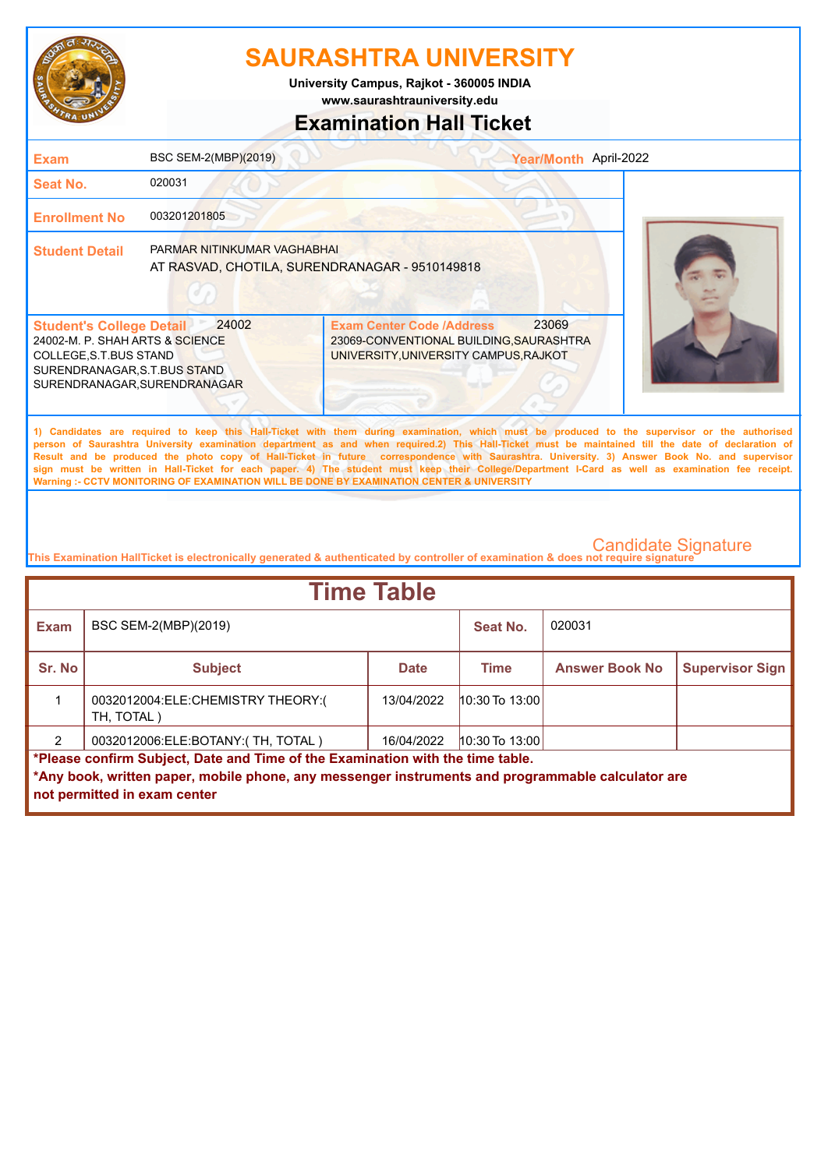

**www.saurashtrauniversity.edu University Campus, Rajkot - 360005 INDIA**

## **Examination Hall Ticket**

| <b>Exam</b>                                                                                                                                                                                                                                                                                                                                                                                                                                                                                                                                                                                                                                                                                         | BSC SEM-2(MBP)(2019)                                                          | Year/Month April-2022                                                                                                         |  |  |
|-----------------------------------------------------------------------------------------------------------------------------------------------------------------------------------------------------------------------------------------------------------------------------------------------------------------------------------------------------------------------------------------------------------------------------------------------------------------------------------------------------------------------------------------------------------------------------------------------------------------------------------------------------------------------------------------------------|-------------------------------------------------------------------------------|-------------------------------------------------------------------------------------------------------------------------------|--|--|
| <b>Seat No.</b>                                                                                                                                                                                                                                                                                                                                                                                                                                                                                                                                                                                                                                                                                     | 020031                                                                        |                                                                                                                               |  |  |
| <b>Enrollment No</b>                                                                                                                                                                                                                                                                                                                                                                                                                                                                                                                                                                                                                                                                                | 003201201805                                                                  |                                                                                                                               |  |  |
| <b>Student Detail</b>                                                                                                                                                                                                                                                                                                                                                                                                                                                                                                                                                                                                                                                                               | PARMAR NITINKUMAR VAGHABHAI<br>AT RASVAD, CHOTILA, SURENDRANAGAR - 9510149818 |                                                                                                                               |  |  |
| <b>Student's College Detail</b><br>24002-M. P. SHAH ARTS & SCIENCE<br>COLLEGE, S.T.BUS STAND<br>SURENDRANAGAR, S.T.BUS STAND<br>SURENDRANAGAR, SURENDRANAGAR                                                                                                                                                                                                                                                                                                                                                                                                                                                                                                                                        | 24002                                                                         | 23069<br><b>Exam Center Code /Address</b><br>23069-CONVENTIONAL BUILDING, SAURASHTRA<br>UNIVERSITY, UNIVERSITY CAMPUS, RAJKOT |  |  |
| 1) Candidates are required to keep this Hall-Ticket with them during examination, which must be produced to the supervisor or the authorised<br>person of Saurashtra University examination department as and when required.2) This Hall-Ticket must be maintained till the date of declaration of<br>Result and be produced the photo copy of Hall-Ticket in future correspondence with Saurashtra. University. 3) Answer Book No. and supervisor<br>sign must be written in Hall-Ticket for each paper. 4) The student must keep their College/Department I-Card as well as examination fee receipt.<br>Warning :- CCTV MONITORING OF EXAMINATION WILL BE DONE BY EXAMINATION CENTER & UNIVERSITY |                                                                               |                                                                                                                               |  |  |
|                                                                                                                                                                                                                                                                                                                                                                                                                                                                                                                                                                                                                                                                                                     |                                                                               |                                                                                                                               |  |  |

| <b>Time Table</b>                                                              |                                                                                                                                   |             |                    |                       |                        |  |
|--------------------------------------------------------------------------------|-----------------------------------------------------------------------------------------------------------------------------------|-------------|--------------------|-----------------------|------------------------|--|
| <b>Exam</b>                                                                    | BSC SEM-2(MBP)(2019)                                                                                                              |             | Seat No.           | 020031                |                        |  |
| Sr. No                                                                         | <b>Subject</b>                                                                                                                    | <b>Date</b> | Time               | <b>Answer Book No</b> | <b>Supervisor Sign</b> |  |
|                                                                                | 0032012004:ELE:CHEMISTRY THEORY:(<br>TH, TOTAL)                                                                                   | 13/04/2022  | $10:30$ To $13:00$ |                       |                        |  |
|                                                                                | 0032012006:ELE:BOTANY:(TH, TOTAL)                                                                                                 | 16/04/2022  | $10:30$ To 13:00   |                       |                        |  |
| *Please confirm Subject, Date and Time of the Examination with the time table. |                                                                                                                                   |             |                    |                       |                        |  |
|                                                                                | *Any book, written paper, mobile phone, any messenger instruments and programmable calculator are<br>not permitted in exam center |             |                    |                       |                        |  |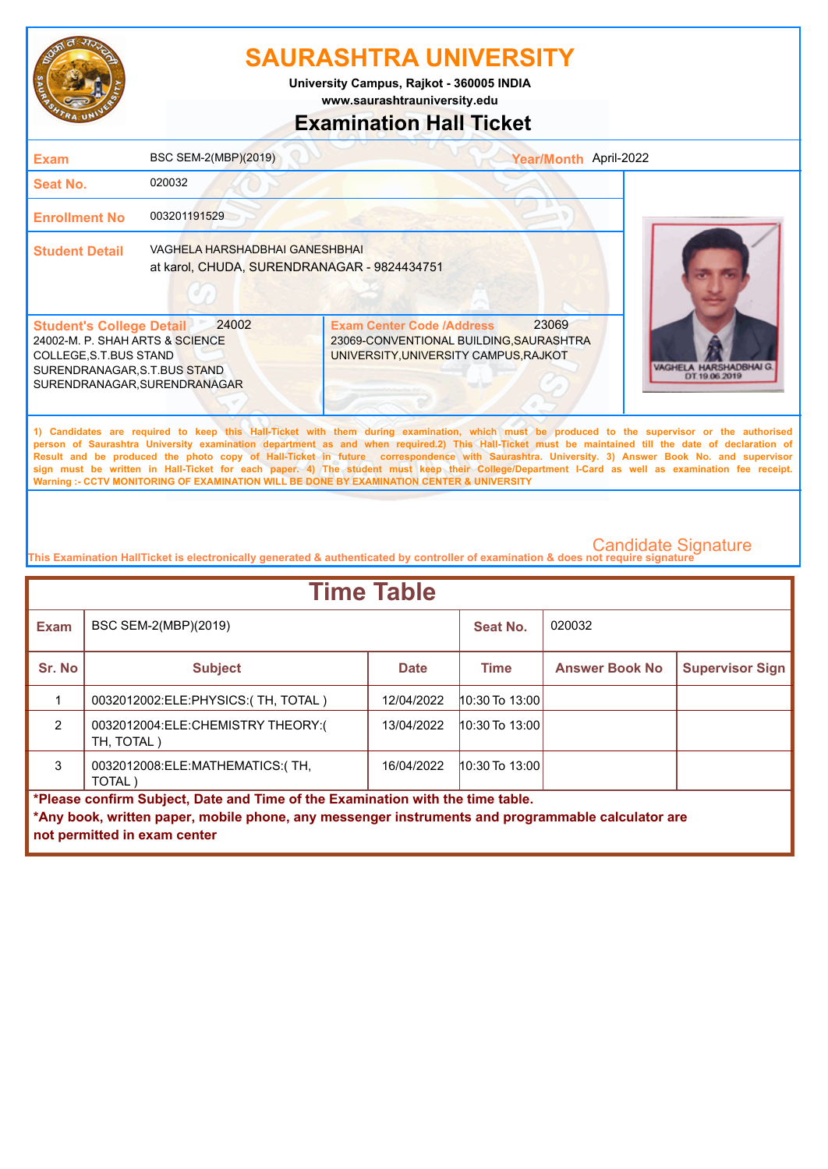

**University Campus, Rajkot - 360005 INDIA**

## **www.saurashtrauniversity.edu**

### **Examination Hall Ticket**

| Exam                                                                                                                                                          | BSC SEM-2(MBP)(2019)                                                          |                                                                                                                                                                                                                                                                                                                                                                                                                                                                                                                                                                                                        | Year/Month April-2022 |                                         |
|---------------------------------------------------------------------------------------------------------------------------------------------------------------|-------------------------------------------------------------------------------|--------------------------------------------------------------------------------------------------------------------------------------------------------------------------------------------------------------------------------------------------------------------------------------------------------------------------------------------------------------------------------------------------------------------------------------------------------------------------------------------------------------------------------------------------------------------------------------------------------|-----------------------|-----------------------------------------|
| <b>Seat No.</b>                                                                                                                                               | 020032                                                                        |                                                                                                                                                                                                                                                                                                                                                                                                                                                                                                                                                                                                        |                       |                                         |
| <b>Enrollment No</b>                                                                                                                                          | 003201191529                                                                  |                                                                                                                                                                                                                                                                                                                                                                                                                                                                                                                                                                                                        |                       |                                         |
| <b>Student Detail</b>                                                                                                                                         | VAGHELA HARSHADBHAI GANESHBHAI<br>at karol, CHUDA, SURENDRANAGAR - 9824434751 |                                                                                                                                                                                                                                                                                                                                                                                                                                                                                                                                                                                                        |                       |                                         |
| <b>Student's College Detail</b><br>24002-M. P. SHAH ARTS & SCIENCE<br>COLLEGE, S.T. BUS STAND<br>SURENDRANAGAR, S.T.BUS STAND<br>SURENDRANAGAR, SURENDRANAGAR | 24002                                                                         | <b>Exam Center Code /Address</b><br>23069-CONVENTIONAL BUILDING, SAURASHTRA<br>UNIVERSITY, UNIVERSITY CAMPUS, RAJKOT                                                                                                                                                                                                                                                                                                                                                                                                                                                                                   | 23069                 | VAGHELA HARSHADBHAI G.<br>DT 19 06 2019 |
|                                                                                                                                                               |                                                                               | 1) Candidates are required to keep this Hall-Ticket with them during examination, which must be produced to the supervisor or the authorised<br>person of Saurashtra University examination department as and when required.2) This Hall-Ticket must be maintained till the date of declaration of<br>Result and be produced the photo copy of Hall-Ticket in future correspondence with Saurashtra. University. 3) Answer Book No. and supervisor<br>sign must be written in Hall-Ticket for each paper. 4) The student must keep their College/Department I-Card as well as examination fee receipt. |                       |                                         |

**This Examination HallTicket is electronically generated & authenticated by controller of examination & does not require signature** 

**Warning :- CCTV MONITORING OF EXAMINATION WILL BE DONE BY EXAMINATION CENTER & UNIVERSITY**

| <b>Time Table</b>                                                                                 |                                                 |             |                    |                       |                        |  |
|---------------------------------------------------------------------------------------------------|-------------------------------------------------|-------------|--------------------|-----------------------|------------------------|--|
| <b>Exam</b>                                                                                       | BSC SEM-2(MBP)(2019)                            |             | Seat No.           | 020032                |                        |  |
| Sr. No                                                                                            | <b>Subject</b>                                  | <b>Date</b> | <b>Time</b>        | <b>Answer Book No</b> | <b>Supervisor Sign</b> |  |
|                                                                                                   | 0032012002:ELE:PHYSICS:(TH, TOTAL)              | 12/04/2022  | $10:30$ To 13:00   |                       |                        |  |
| $\mathcal{P}$                                                                                     | 0032012004:ELE:CHEMISTRY THEORY:(<br>TH, TOTAL) | 13/04/2022  | $10:30$ To $13:00$ |                       |                        |  |
| 3                                                                                                 | 0032012008:ELE:MATHEMATICS:(TH,<br>TOTAL)       | 16/04/2022  | $10:30$ To 13:00   |                       |                        |  |
| *Please confirm Subject, Date and Time of the Examination with the time table.                    |                                                 |             |                    |                       |                        |  |
| *Any book, written paper, mobile phone, any messenger instruments and programmable calculator are |                                                 |             |                    |                       |                        |  |
|                                                                                                   | not permitted in exam center                    |             |                    |                       |                        |  |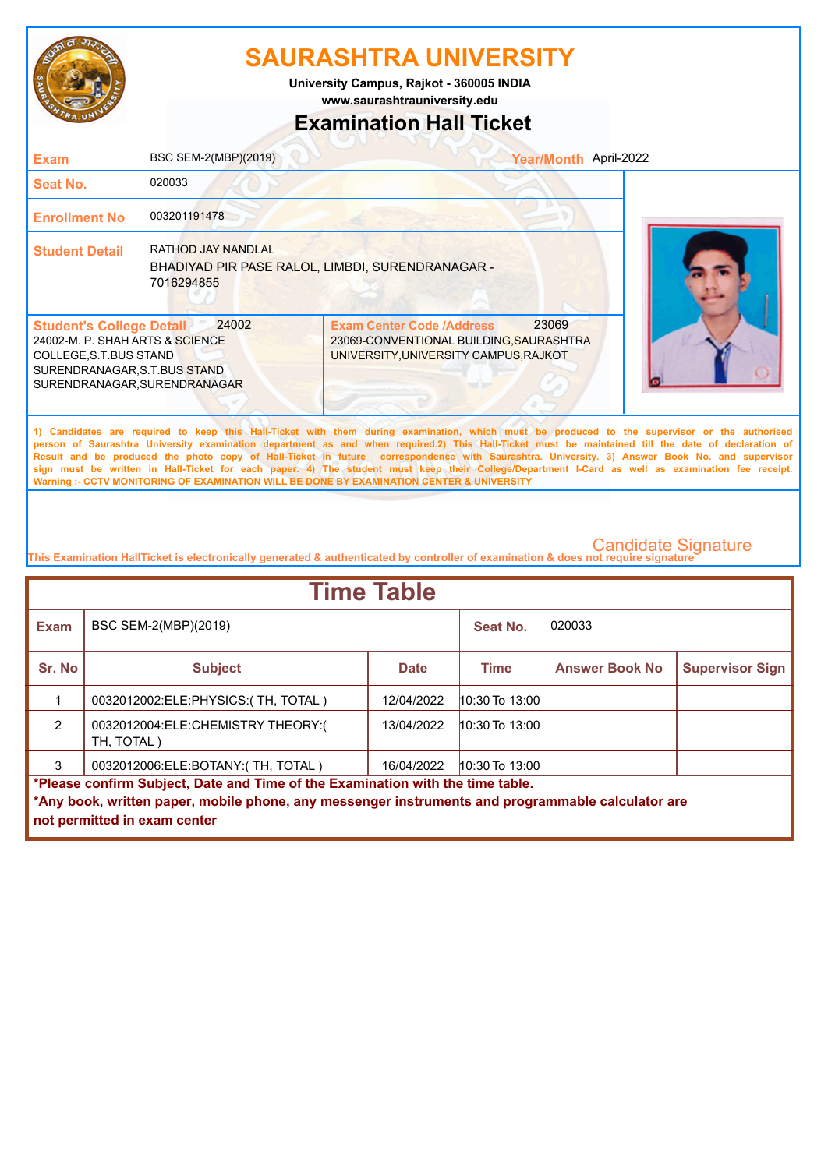

**University Campus, Rajkot - 360005 INDIA**

**www.saurashtrauniversity.edu**

## **Examination Hall Ticket**

| <b>Exam</b>                                                                                                                                                   | BSC SEM-2(MBP)(2019)                                                                        | Year/Month April-2022                                                                                                                                                                                                                                                                                                                                                                                                                                                                                                                                                                                                                                                                               |  |
|---------------------------------------------------------------------------------------------------------------------------------------------------------------|---------------------------------------------------------------------------------------------|-----------------------------------------------------------------------------------------------------------------------------------------------------------------------------------------------------------------------------------------------------------------------------------------------------------------------------------------------------------------------------------------------------------------------------------------------------------------------------------------------------------------------------------------------------------------------------------------------------------------------------------------------------------------------------------------------------|--|
| Seat No.                                                                                                                                                      | 020033                                                                                      |                                                                                                                                                                                                                                                                                                                                                                                                                                                                                                                                                                                                                                                                                                     |  |
| <b>Enrollment No</b>                                                                                                                                          | 003201191478                                                                                |                                                                                                                                                                                                                                                                                                                                                                                                                                                                                                                                                                                                                                                                                                     |  |
| <b>Student Detail</b>                                                                                                                                         | <b>RATHOD JAY NANDLAL</b><br>BHADIYAD PIR PASE RALOL, LIMBDI, SURENDRANAGAR -<br>7016294855 |                                                                                                                                                                                                                                                                                                                                                                                                                                                                                                                                                                                                                                                                                                     |  |
| <b>Student's College Detail</b><br>24002-M. P. SHAH ARTS & SCIENCE<br>COLLEGE, S.T. BUS STAND<br>SURENDRANAGAR, S.T.BUS STAND<br>SURENDRANAGAR, SURENDRANAGAR | 24002                                                                                       | 23069<br><b>Exam Center Code /Address</b><br>23069-CONVENTIONAL BUILDING, SAURASHTRA<br>UNIVERSITY, UNIVERSITY CAMPUS, RAJKOT                                                                                                                                                                                                                                                                                                                                                                                                                                                                                                                                                                       |  |
|                                                                                                                                                               |                                                                                             | 1) Candidates are required to keep this Hall-Ticket with them during examination, which must be produced to the supervisor or the authorised<br>person of Saurashtra University examination department as and when required.2) This Hall-Ticket must be maintained till the date of declaration of<br>Result and be produced the photo copy of Hall-Ticket in future correspondence with Saurashtra. University. 3) Answer Book No. and supervisor<br>sign must be written in Hall-Ticket for each paper. 4) The student must keep their College/Department I-Card as well as examination fee receipt.<br>Warning :- CCTV MONITORING OF EXAMINATION WILL BE DONE BY EXAMINATION CENTER & UNIVERSITY |  |

| <b>Time Table</b>                                                              |                                                                                                   |             |                    |                       |                        |  |
|--------------------------------------------------------------------------------|---------------------------------------------------------------------------------------------------|-------------|--------------------|-----------------------|------------------------|--|
| <b>Exam</b>                                                                    | BSC SEM-2(MBP)(2019)                                                                              |             | Seat No.           | 020033                |                        |  |
| Sr. No                                                                         | <b>Subject</b>                                                                                    | <b>Date</b> | <b>Time</b>        | <b>Answer Book No</b> | <b>Supervisor Sign</b> |  |
|                                                                                | 0032012002:ELE:PHYSICS:(TH, TOTAL)                                                                | 12/04/2022  | $10:30$ To $13:00$ |                       |                        |  |
| $\mathcal{P}$                                                                  | 0032012004:ELE:CHEMISTRY THEORY:(<br>TH, TOTAL)                                                   | 13/04/2022  | $10:30$ To $13:00$ |                       |                        |  |
| 3                                                                              | 0032012006:ELE:BOTANY:(TH, TOTAL)                                                                 | 16/04/2022  | $ 10:30$ To 13:00  |                       |                        |  |
| *Please confirm Subject, Date and Time of the Examination with the time table. |                                                                                                   |             |                    |                       |                        |  |
|                                                                                | *Any book, written paper, mobile phone, any messenger instruments and programmable calculator are |             |                    |                       |                        |  |
|                                                                                | not permitted in exam center                                                                      |             |                    |                       |                        |  |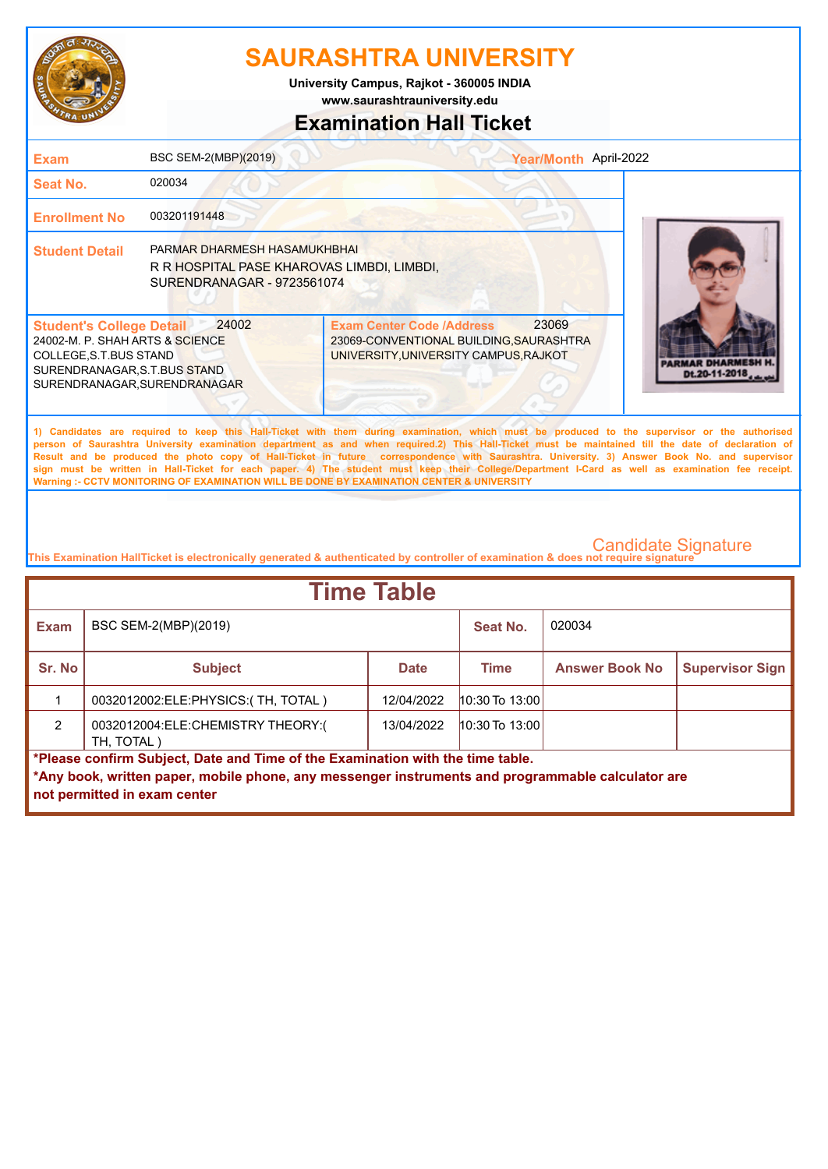

**University Campus, Rajkot - 360005 INDIA**

**www.saurashtrauniversity.edu**

## **Examination Hall Ticket**

| <b>Exam</b>                                                                                                                                                                                                                                                                                                                                                                                                                                                                                                                                                                                                                                                                                         | BSC SEM-2(MBP)(2019)                                                                                     |                                                                                                                      | Year/Month April-2022 |               |  |
|-----------------------------------------------------------------------------------------------------------------------------------------------------------------------------------------------------------------------------------------------------------------------------------------------------------------------------------------------------------------------------------------------------------------------------------------------------------------------------------------------------------------------------------------------------------------------------------------------------------------------------------------------------------------------------------------------------|----------------------------------------------------------------------------------------------------------|----------------------------------------------------------------------------------------------------------------------|-----------------------|---------------|--|
| Seat No.                                                                                                                                                                                                                                                                                                                                                                                                                                                                                                                                                                                                                                                                                            | 020034                                                                                                   |                                                                                                                      |                       |               |  |
| <b>Enrollment No</b>                                                                                                                                                                                                                                                                                                                                                                                                                                                                                                                                                                                                                                                                                | 003201191448                                                                                             |                                                                                                                      |                       |               |  |
| <b>Student Detail</b>                                                                                                                                                                                                                                                                                                                                                                                                                                                                                                                                                                                                                                                                               | PARMAR DHARMESH HASAMUKHBHAI<br>R R HOSPITAL PASE KHAROVAS LIMBDI, LIMBDI,<br>SURENDRANAGAR - 9723561074 |                                                                                                                      |                       |               |  |
| <b>Student's College Detail</b><br>24002-M. P. SHAH ARTS & SCIENCE<br>COLLEGE, S.T. BUS STAND<br>SURENDRANAGAR, S.T.BUS STAND<br>SURENDRANAGAR.SURENDRANAGAR                                                                                                                                                                                                                                                                                                                                                                                                                                                                                                                                        | 24002                                                                                                    | <b>Exam Center Code /Address</b><br>23069-CONVENTIONAL BUILDING, SAURASHTRA<br>UNIVERSITY, UNIVERSITY CAMPUS, RAJKOT | 23069                 | Dt.20-11-2018 |  |
| 1) Candidates are required to keep this Hall-Ticket with them during examination, which must be produced to the supervisor or the authorised<br>person of Saurashtra University examination department as and when required.2) This Hall-Ticket must be maintained till the date of declaration of<br>Result and be produced the photo copy of Hall-Ticket in future correspondence with Saurashtra. University. 3) Answer Book No. and supervisor<br>sign must be written in Hall-Ticket for each paper. 4) The student must keep their College/Department I-Card as well as examination fee receipt.<br>Warning :- CCTV MONITORING OF EXAMINATION WILL BE DONE BY EXAMINATION CENTER & UNIVERSITY |                                                                                                          |                                                                                                                      |                       |               |  |
|                                                                                                                                                                                                                                                                                                                                                                                                                                                                                                                                                                                                                                                                                                     |                                                                                                          |                                                                                                                      |                       |               |  |

| <b>Time Table</b> |                                                                                                                                                                                                                     |             |                    |                       |                        |  |
|-------------------|---------------------------------------------------------------------------------------------------------------------------------------------------------------------------------------------------------------------|-------------|--------------------|-----------------------|------------------------|--|
| <b>Exam</b>       | BSC SEM-2(MBP)(2019)                                                                                                                                                                                                |             | Seat No.           | 020034                |                        |  |
| Sr. No            | <b>Subject</b>                                                                                                                                                                                                      | <b>Date</b> | <b>Time</b>        | <b>Answer Book No</b> | <b>Supervisor Sign</b> |  |
|                   | 0032012002:ELE:PHYSICS:(TH, TOTAL)                                                                                                                                                                                  | 12/04/2022  | $10:30$ To $13:00$ |                       |                        |  |
| $\mathcal{P}$     | 0032012004:ELE:CHEMISTRY THEORY:(<br>TH, TOTAL)                                                                                                                                                                     | 13/04/2022  | $10:30$ To $13:00$ |                       |                        |  |
|                   | *Please confirm Subject, Date and Time of the Examination with the time table.<br>*Any book, written paper, mobile phone, any messenger instruments and programmable calculator are<br>not permitted in exam center |             |                    |                       |                        |  |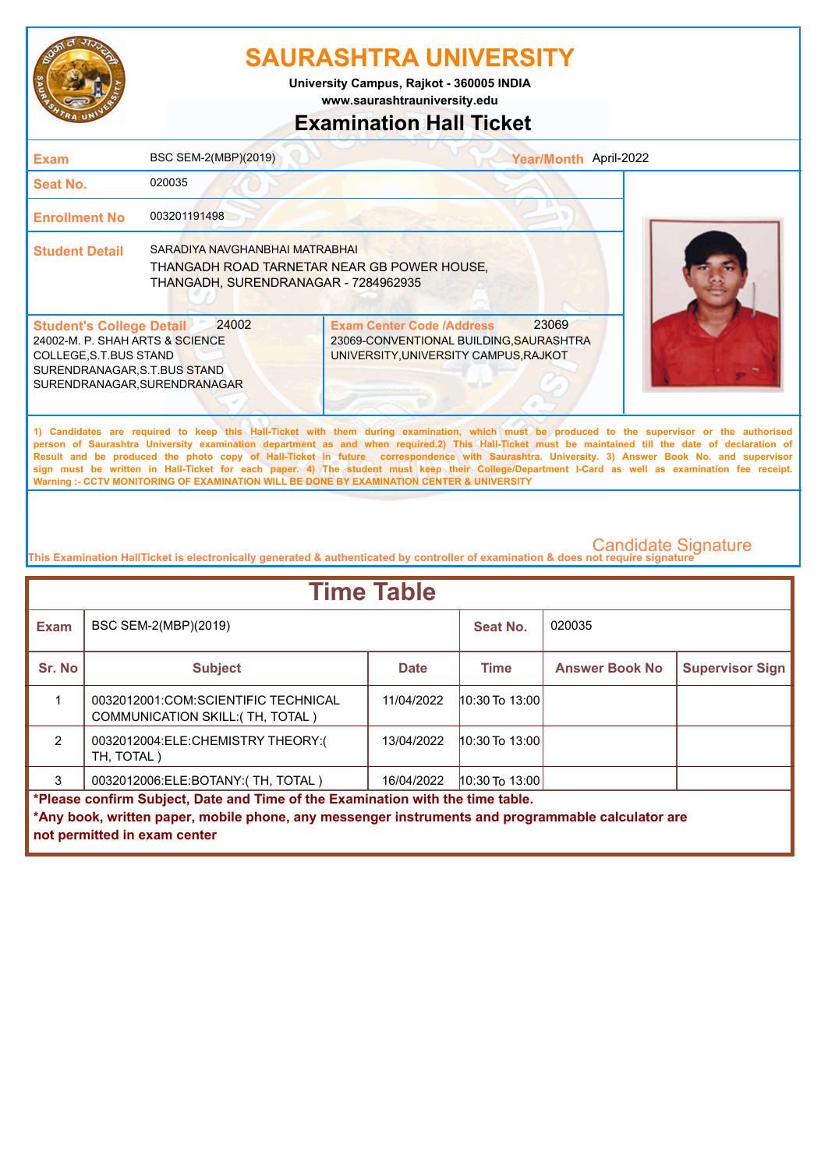

**www.saurashtrauniversity.edu University Campus, Rajkot - 360005 INDIA**

## **Examination Hall Ticket**

| <b>Exam</b>                                                                                                                                                   | BSC SEM-2(MBP)(2019)                                                                                                  |                                                                                                                      | Year/Month April-2022 |                                                                                                                                                                                                                                                                                                                                                                                                                                                                                                                                                                                                        |
|---------------------------------------------------------------------------------------------------------------------------------------------------------------|-----------------------------------------------------------------------------------------------------------------------|----------------------------------------------------------------------------------------------------------------------|-----------------------|--------------------------------------------------------------------------------------------------------------------------------------------------------------------------------------------------------------------------------------------------------------------------------------------------------------------------------------------------------------------------------------------------------------------------------------------------------------------------------------------------------------------------------------------------------------------------------------------------------|
| Seat No.                                                                                                                                                      | 020035                                                                                                                |                                                                                                                      |                       |                                                                                                                                                                                                                                                                                                                                                                                                                                                                                                                                                                                                        |
| <b>Enrollment No</b>                                                                                                                                          | 003201191498                                                                                                          |                                                                                                                      |                       |                                                                                                                                                                                                                                                                                                                                                                                                                                                                                                                                                                                                        |
| <b>Student Detail</b>                                                                                                                                         | SARADIYA NAVGHANBHAI MATRABHAI<br>THANGADH ROAD TARNETAR NEAR GB POWER HOUSE.<br>THANGADH, SURENDRANAGAR - 7284962935 |                                                                                                                      |                       |                                                                                                                                                                                                                                                                                                                                                                                                                                                                                                                                                                                                        |
| <b>Student's College Detail</b><br>24002-M. P. SHAH ARTS & SCIENCE<br>COLLEGE, S.T. BUS STAND<br>SURENDRANAGAR, S.T.BUS STAND<br>SURENDRANAGAR, SURENDRANAGAR | 24002                                                                                                                 | <b>Exam Center Code /Address</b><br>23069-CONVENTIONAL BUILDING, SAURASHTRA<br>UNIVERSITY, UNIVERSITY CAMPUS, RAJKOT | 23069                 |                                                                                                                                                                                                                                                                                                                                                                                                                                                                                                                                                                                                        |
|                                                                                                                                                               |                                                                                                                       | Warning :- CCTV MONITORING OF EXAMINATION WILL BE DONE BY EXAMINATION CENTER & UNIVERSITY                            |                       | 1) Candidates are required to keep this Hall-Ticket with them during examination, which must be produced to the supervisor or the authorised<br>person of Saurashtra University examination department as and when required.2) This Hall-Ticket must be maintained till the date of declaration of<br>Result and be produced the photo copy of Hall-Ticket in future correspondence with Saurashtra. University. 3) Answer Book No. and supervisor<br>sign must be written in Hall-Ticket for each paper. 4) The student must keep their College/Department I-Card as well as examination fee receipt. |

| <b>Time Table</b>                                                              |                                                                                                                                   |             |                    |                       |                        |  |
|--------------------------------------------------------------------------------|-----------------------------------------------------------------------------------------------------------------------------------|-------------|--------------------|-----------------------|------------------------|--|
| <b>Exam</b>                                                                    | BSC SEM-2(MBP)(2019)                                                                                                              |             | Seat No.           | 020035                |                        |  |
| Sr. No                                                                         | <b>Subject</b>                                                                                                                    | <b>Date</b> | Time               | <b>Answer Book No</b> | <b>Supervisor Sign</b> |  |
|                                                                                | 0032012001:COM:SCIENTIFIC TECHNICAL<br>COMMUNICATION SKILL: (TH, TOTAL)                                                           | 11/04/2022  | $10:30$ To $13:00$ |                       |                        |  |
| $\mathcal{P}$                                                                  | 0032012004:ELE:CHEMISTRY THEORY:(<br>TH, TOTAL)                                                                                   | 13/04/2022  | $10:30$ To $13:00$ |                       |                        |  |
| 3                                                                              | 0032012006:ELE:BOTANY:(TH, TOTAL)                                                                                                 | 16/04/2022  | 10:30 To 13:00     |                       |                        |  |
| *Please confirm Subject, Date and Time of the Examination with the time table. |                                                                                                                                   |             |                    |                       |                        |  |
|                                                                                | *Any book, written paper, mobile phone, any messenger instruments and programmable calculator are<br>not permitted in exam center |             |                    |                       |                        |  |
|                                                                                |                                                                                                                                   |             |                    |                       |                        |  |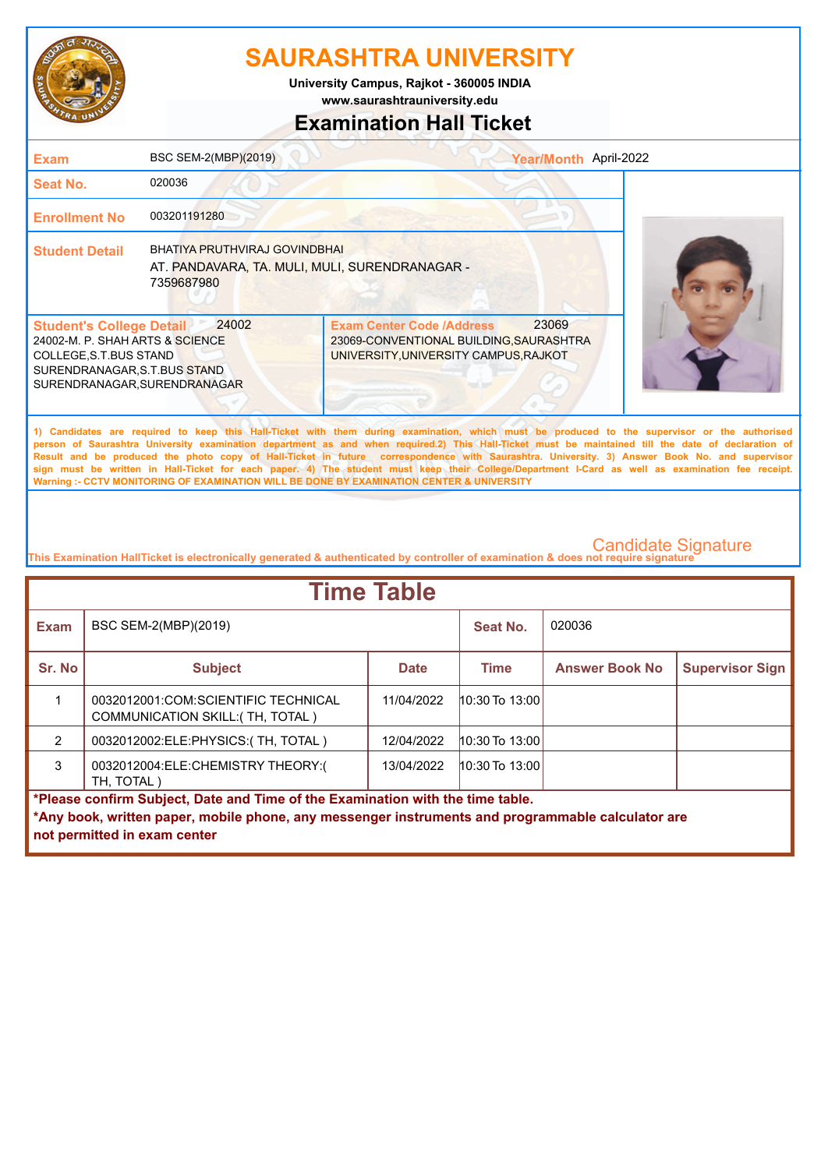

**University Campus, Rajkot - 360005 INDIA**

## **www.saurashtrauniversity.edu**

### **Examination Hall Ticket**

| <b>Exam</b>                                                                                                                                                   | BSC SEM-2(MBP)(2019)                                                                          |                                                                                                                                                                                                                                                                                                                                                                                                                                                                                                                                                                                                                                                                                                     | Year/Month April-2022 |
|---------------------------------------------------------------------------------------------------------------------------------------------------------------|-----------------------------------------------------------------------------------------------|-----------------------------------------------------------------------------------------------------------------------------------------------------------------------------------------------------------------------------------------------------------------------------------------------------------------------------------------------------------------------------------------------------------------------------------------------------------------------------------------------------------------------------------------------------------------------------------------------------------------------------------------------------------------------------------------------------|-----------------------|
| <b>Seat No.</b>                                                                                                                                               | 020036                                                                                        |                                                                                                                                                                                                                                                                                                                                                                                                                                                                                                                                                                                                                                                                                                     |                       |
| <b>Enrollment No</b>                                                                                                                                          | 003201191280                                                                                  |                                                                                                                                                                                                                                                                                                                                                                                                                                                                                                                                                                                                                                                                                                     |                       |
| <b>Student Detail</b>                                                                                                                                         | BHATIYA PRUTHVIRAJ GOVINDBHAI<br>AT. PANDAVARA, TA. MULI, MULI, SURENDRANAGAR -<br>7359687980 |                                                                                                                                                                                                                                                                                                                                                                                                                                                                                                                                                                                                                                                                                                     |                       |
| <b>Student's College Detail</b><br>24002-M. P. SHAH ARTS & SCIENCE<br>COLLEGE, S.T. BUS STAND<br>SURENDRANAGAR, S.T.BUS STAND<br>SURENDRANAGAR, SURENDRANAGAR | 24002                                                                                         | 23069<br><b>Exam Center Code /Address</b><br>23069-CONVENTIONAL BUILDING, SAURASHTRA<br>UNIVERSITY, UNIVERSITY CAMPUS, RAJKOT                                                                                                                                                                                                                                                                                                                                                                                                                                                                                                                                                                       |                       |
|                                                                                                                                                               |                                                                                               | 1) Candidates are required to keep this Hall-Ticket with them during examination, which must be produced to the supervisor or the authorised<br>person of Saurashtra University examination department as and when required.2) This Hall-Ticket must be maintained till the date of declaration of<br>Result and be produced the photo copy of Hall-Ticket in future correspondence with Saurashtra. University. 3) Answer Book No. and supervisor<br>sign must be written in Hall-Ticket for each paper. 4) The student must keep their College/Department I-Card as well as examination fee receipt.<br>Warning :- CCTV MONITORING OF EXAMINATION WILL BE DONE BY EXAMINATION CENTER & UNIVERSITY |                       |

| <b>Time Table</b>                                                              |                                                                                                   |             |                    |                       |                        |  |
|--------------------------------------------------------------------------------|---------------------------------------------------------------------------------------------------|-------------|--------------------|-----------------------|------------------------|--|
| <b>Exam</b>                                                                    | BSC SEM-2(MBP)(2019)                                                                              |             | Seat No.           | 020036                |                        |  |
| Sr. No                                                                         | <b>Subject</b>                                                                                    | <b>Date</b> | Time               | <b>Answer Book No</b> | <b>Supervisor Sign</b> |  |
|                                                                                | 0032012001:COM:SCIENTIFIC TECHNICAL<br>COMMUNICATION SKILL: (TH, TOTAL)                           | 11/04/2022  | $10:30$ To $13:00$ |                       |                        |  |
| 2                                                                              | 0032012002:ELE:PHYSICS:(TH, TOTAL)                                                                | 12/04/2022  | 10:30 To 13:00     |                       |                        |  |
| 3                                                                              | 0032012004:ELE:CHEMISTRY THEORY:(<br>TH, TOTAL)                                                   | 13/04/2022  | $10:30$ To $13:00$ |                       |                        |  |
| *Please confirm Subject, Date and Time of the Examination with the time table. |                                                                                                   |             |                    |                       |                        |  |
|                                                                                | *Any book, written paper, mobile phone, any messenger instruments and programmable calculator are |             |                    |                       |                        |  |
|                                                                                | not permitted in exam center                                                                      |             |                    |                       |                        |  |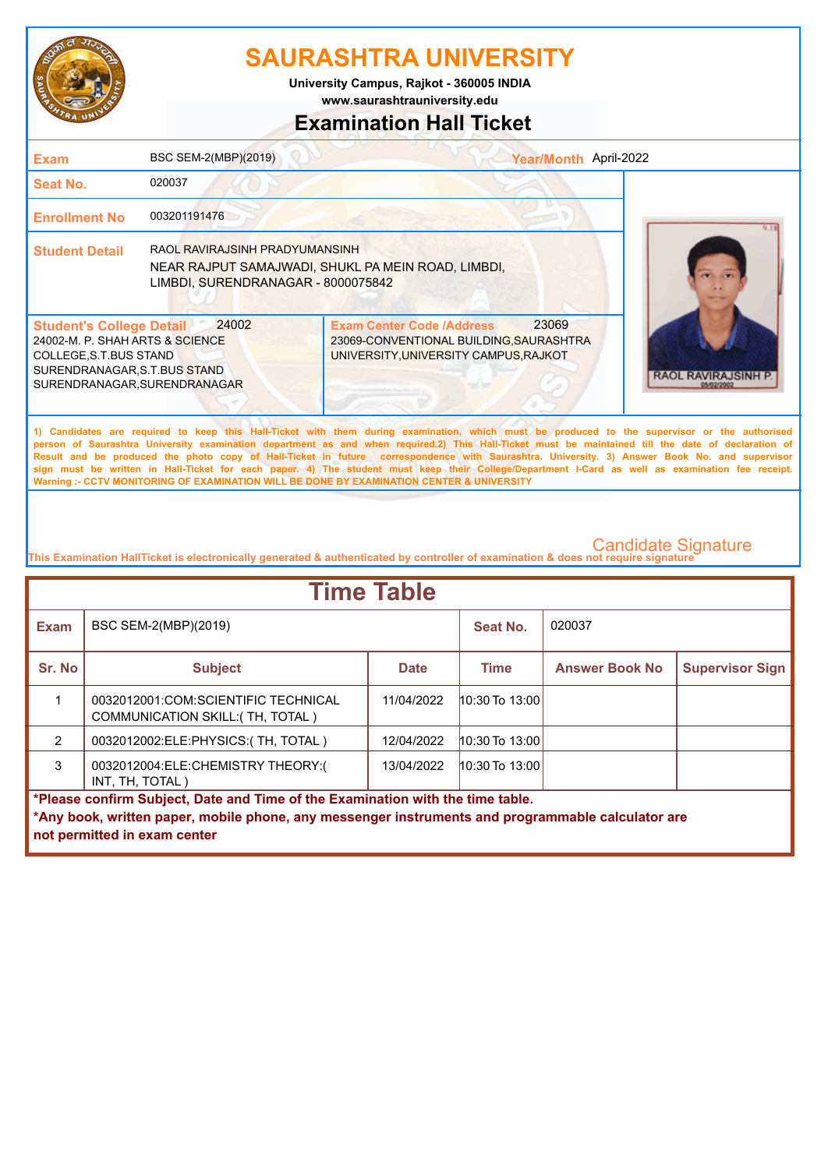

**www.saurashtrauniversity.edu University Campus, Rajkot - 360005 INDIA**

## **Examination Hall Ticket**

| <b>Exam</b>                                                                                                                                                   | BSC SEM-2(MBP)(2019)                                                 | Year/Month April-2022                                                                                                                                                                                                                                                                                                                                                                                                                                                                                                                                                                                                                                                                               |                       |
|---------------------------------------------------------------------------------------------------------------------------------------------------------------|----------------------------------------------------------------------|-----------------------------------------------------------------------------------------------------------------------------------------------------------------------------------------------------------------------------------------------------------------------------------------------------------------------------------------------------------------------------------------------------------------------------------------------------------------------------------------------------------------------------------------------------------------------------------------------------------------------------------------------------------------------------------------------------|-----------------------|
| <b>Seat No.</b>                                                                                                                                               | 020037                                                               |                                                                                                                                                                                                                                                                                                                                                                                                                                                                                                                                                                                                                                                                                                     |                       |
| <b>Enrollment No</b>                                                                                                                                          | 003201191476                                                         |                                                                                                                                                                                                                                                                                                                                                                                                                                                                                                                                                                                                                                                                                                     |                       |
| <b>Student Detail</b>                                                                                                                                         | RAOL RAVIRAJSINH PRADYUMANSINH<br>LIMBDI, SURENDRANAGAR - 8000075842 | NEAR RAJPUT SAMAJWADI, SHUKL PA MEIN ROAD, LIMBDI,                                                                                                                                                                                                                                                                                                                                                                                                                                                                                                                                                                                                                                                  |                       |
| <b>Student's College Detail</b><br>24002-M. P. SHAH ARTS & SCIENCE<br>COLLEGE, S.T. BUS STAND<br>SURENDRANAGAR, S.T.BUS STAND<br>SURENDRANAGAR, SURENDRANAGAR | 24002                                                                | 23069<br><b>Exam Center Code /Address</b><br>23069-CONVENTIONAL BUILDING, SAURASHTRA<br>UNIVERSITY, UNIVERSITY CAMPUS, RAJKOT                                                                                                                                                                                                                                                                                                                                                                                                                                                                                                                                                                       | RAOL RAVI<br>5/02/200 |
|                                                                                                                                                               |                                                                      | 1) Candidates are required to keep this Hall-Ticket with them during examination, which must be produced to the supervisor or the authorised<br>person of Saurashtra University examination department as and when required.2) This Hall-Ticket must be maintained till the date of declaration of<br>Result and be produced the photo copy of Hall-Ticket in future correspondence with Saurashtra. University. 3) Answer Book No. and supervisor<br>sign must be written in Hall-Ticket for each paper. 4) The student must keep their College/Department I-Card as well as examination fee receipt.<br>Warning :- CCTV MONITORING OF EXAMINATION WILL BE DONE BY EXAMINATION CENTER & UNIVERSITY |                       |
|                                                                                                                                                               |                                                                      |                                                                                                                                                                                                                                                                                                                                                                                                                                                                                                                                                                                                                                                                                                     |                       |

| <b>Time Table</b>                                                              |                                                                                                                                   |             |                    |                       |                        |  |
|--------------------------------------------------------------------------------|-----------------------------------------------------------------------------------------------------------------------------------|-------------|--------------------|-----------------------|------------------------|--|
| <b>Exam</b>                                                                    | BSC SEM-2(MBP)(2019)                                                                                                              |             | Seat No.           | 020037                |                        |  |
| Sr. No                                                                         | <b>Subject</b>                                                                                                                    | <b>Date</b> | <b>Time</b>        | <b>Answer Book No</b> | <b>Supervisor Sign</b> |  |
|                                                                                | 0032012001:COM:SCIENTIFIC TECHNICAL<br><b>COMMUNICATION SKILL: (TH, TOTAL)</b>                                                    | 11/04/2022  | $10:30$ To $13:00$ |                       |                        |  |
| $\mathcal{P}$                                                                  | 0032012002:ELE:PHYSICS:(TH, TOTAL)                                                                                                | 12/04/2022  | 10:30 To 13:00     |                       |                        |  |
| 3                                                                              | 0032012004:ELE:CHEMISTRY THEORY:(<br>INT, TH, TOTAL)                                                                              | 13/04/2022  | $10:30$ To $13:00$ |                       |                        |  |
| *Please confirm Subject, Date and Time of the Examination with the time table. |                                                                                                                                   |             |                    |                       |                        |  |
|                                                                                | *Any book, written paper, mobile phone, any messenger instruments and programmable calculator are<br>not permitted in exam center |             |                    |                       |                        |  |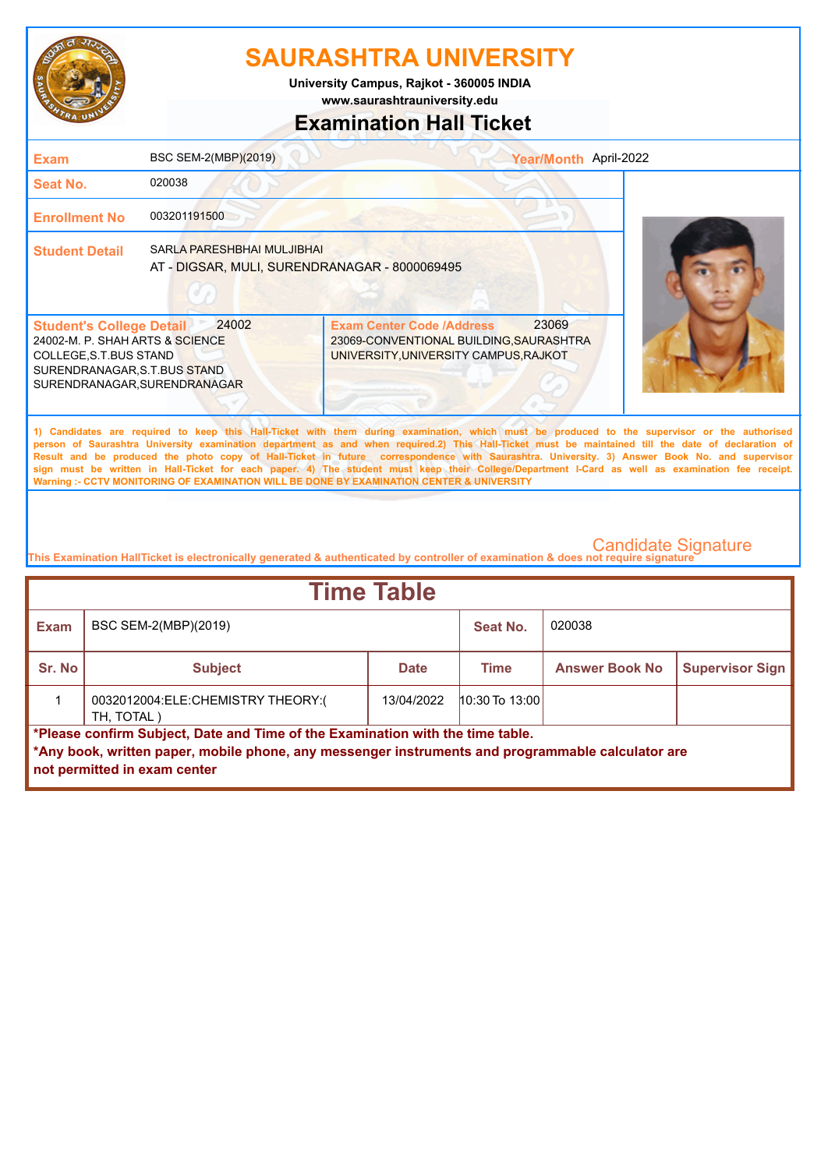

**www.saurashtrauniversity.edu University Campus, Rajkot - 360005 INDIA**

## **Examination Hall Ticket**

| <b>Exam</b>                                                                                                                                                  | BSC SEM-2(MBP)(2019)                                                               | Year/Month April-2022                                                                                                                                                                                                                                                                                                                                                                                                                                                                                                                                                                                                                                                                               |  |
|--------------------------------------------------------------------------------------------------------------------------------------------------------------|------------------------------------------------------------------------------------|-----------------------------------------------------------------------------------------------------------------------------------------------------------------------------------------------------------------------------------------------------------------------------------------------------------------------------------------------------------------------------------------------------------------------------------------------------------------------------------------------------------------------------------------------------------------------------------------------------------------------------------------------------------------------------------------------------|--|
| Seat No.                                                                                                                                                     | 020038                                                                             |                                                                                                                                                                                                                                                                                                                                                                                                                                                                                                                                                                                                                                                                                                     |  |
| <b>Enrollment No</b>                                                                                                                                         | 003201191500                                                                       |                                                                                                                                                                                                                                                                                                                                                                                                                                                                                                                                                                                                                                                                                                     |  |
| <b>Student Detail</b>                                                                                                                                        | <b>SARLA PARESHBHAI MULJIBHAI</b><br>AT - DIGSAR, MULI, SURENDRANAGAR - 8000069495 |                                                                                                                                                                                                                                                                                                                                                                                                                                                                                                                                                                                                                                                                                                     |  |
| <b>Student's College Detail</b><br>24002-M. P. SHAH ARTS & SCIENCE<br>COLLEGE, S.T.BUS STAND<br>SURENDRANAGAR, S.T.BUS STAND<br>SURENDRANAGAR, SURENDRANAGAR | 24002                                                                              | 23069<br><b>Exam Center Code /Address</b><br>23069-CONVENTIONAL BUILDING, SAURASHTRA<br>UNIVERSITY, UNIVERSITY CAMPUS, RAJKOT                                                                                                                                                                                                                                                                                                                                                                                                                                                                                                                                                                       |  |
|                                                                                                                                                              |                                                                                    | 1) Candidates are required to keep this Hall-Ticket with them during examination, which must be produced to the supervisor or the authorised<br>person of Saurashtra University examination department as and when required.2) This Hall-Ticket must be maintained till the date of declaration of<br>Result and be produced the photo copy of Hall-Ticket in future correspondence with Saurashtra. University. 3) Answer Book No. and supervisor<br>sign must be written in Hall-Ticket for each paper. 4) The student must keep their College/Department I-Card as well as examination fee receipt.<br>Warning :- CCTV MONITORING OF EXAMINATION WILL BE DONE BY EXAMINATION CENTER & UNIVERSITY |  |

| <b>Time Table</b>                                                                                                                                                                                                   |                                                  |             |                    |                       |                        |
|---------------------------------------------------------------------------------------------------------------------------------------------------------------------------------------------------------------------|--------------------------------------------------|-------------|--------------------|-----------------------|------------------------|
| Exam                                                                                                                                                                                                                | BSC SEM-2(MBP)(2019)                             |             | Seat No.           | 020038                |                        |
| Sr. No                                                                                                                                                                                                              | <b>Subject</b>                                   | <b>Date</b> | Time               | <b>Answer Book No</b> | <b>Supervisor Sign</b> |
|                                                                                                                                                                                                                     | 0032012004:ELE:CHEMISTRY THEORY:(<br>TH, TOTAL ) | 13/04/2022  | $10:30$ To $13:00$ |                       |                        |
| *Please confirm Subject, Date and Time of the Examination with the time table.<br>*Any book, written paper, mobile phone, any messenger instruments and programmable calculator are<br>not permitted in exam center |                                                  |             |                    |                       |                        |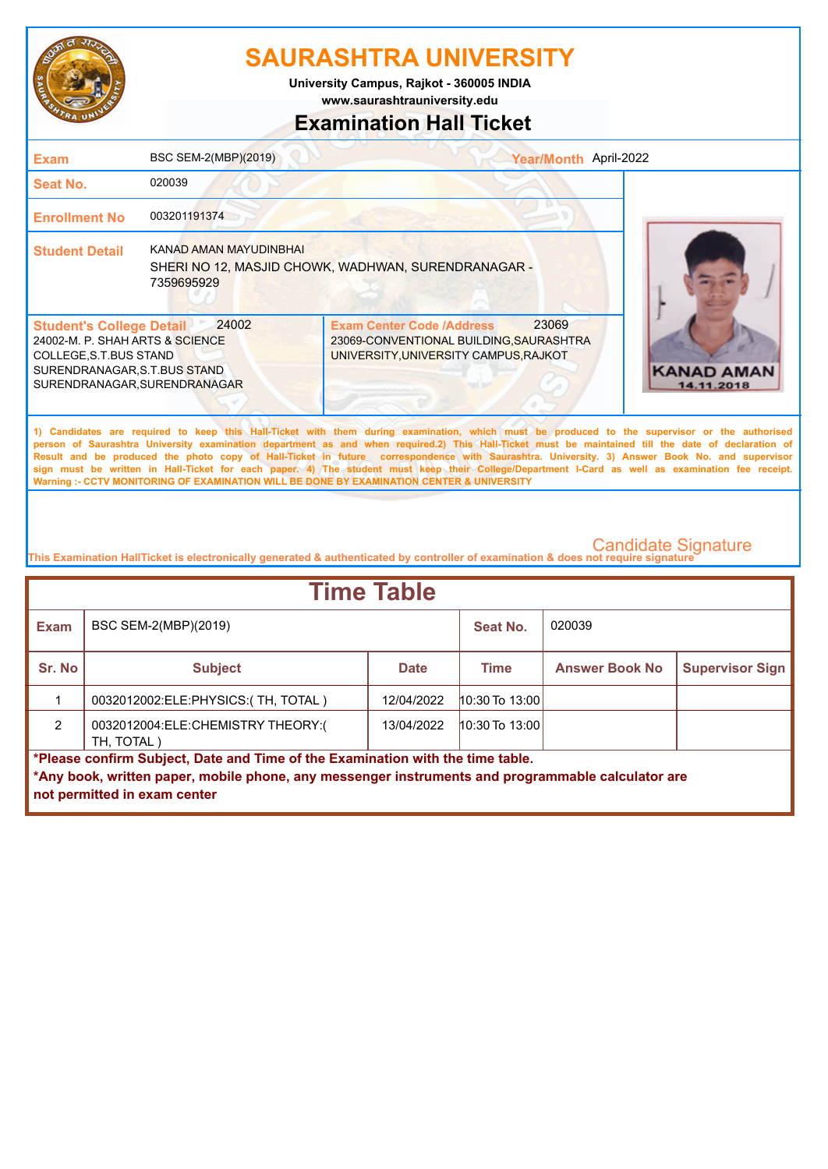

**University Campus, Rajkot - 360005 INDIA**

**www.saurashtrauniversity.edu**

## **Examination Hall Ticket**

| <b>Exam</b>                                                                                                                                                   | BSC SEM-2(MBP)(2019)                        | Year/Month April-2022                                                                                                                                                                                                                                                                                                                                                                                                                                                                                                                                                                                                                                                                               |                                 |
|---------------------------------------------------------------------------------------------------------------------------------------------------------------|---------------------------------------------|-----------------------------------------------------------------------------------------------------------------------------------------------------------------------------------------------------------------------------------------------------------------------------------------------------------------------------------------------------------------------------------------------------------------------------------------------------------------------------------------------------------------------------------------------------------------------------------------------------------------------------------------------------------------------------------------------------|---------------------------------|
| Seat No.                                                                                                                                                      | 020039                                      |                                                                                                                                                                                                                                                                                                                                                                                                                                                                                                                                                                                                                                                                                                     |                                 |
| <b>Enrollment No</b>                                                                                                                                          | 003201191374                                |                                                                                                                                                                                                                                                                                                                                                                                                                                                                                                                                                                                                                                                                                                     |                                 |
| <b>Student Detail</b>                                                                                                                                         | <b>KANAD AMAN MAYUDINBHAI</b><br>7359695929 | SHERI NO 12, MASJID CHOWK, WADHWAN, SURENDRANAGAR -                                                                                                                                                                                                                                                                                                                                                                                                                                                                                                                                                                                                                                                 |                                 |
| <b>Student's College Detail</b><br>24002-M. P. SHAH ARTS & SCIENCE<br>COLLEGE, S.T. BUS STAND<br>SURENDRANAGAR, S.T.BUS STAND<br>SURENDRANAGAR, SURENDRANAGAR | 24002                                       | 23069<br><b>Exam Center Code /Address</b><br>23069-CONVENTIONAL BUILDING, SAURASHTRA<br>UNIVERSITY, UNIVERSITY CAMPUS, RAJKOT                                                                                                                                                                                                                                                                                                                                                                                                                                                                                                                                                                       | <b>KANAD AMAN</b><br>14.11.2018 |
|                                                                                                                                                               |                                             | 1) Candidates are required to keep this Hall-Ticket with them during examination, which must be produced to the supervisor or the authorised<br>person of Saurashtra University examination department as and when required.2) This Hall-Ticket must be maintained till the date of declaration of<br>Result and be produced the photo copy of Hall-Ticket in future correspondence with Saurashtra. University. 3) Answer Book No. and supervisor<br>sign must be written in Hall-Ticket for each paper. 4) The student must keep their College/Department I-Card as well as examination fee receipt.<br>Warning :- CCTV MONITORING OF EXAMINATION WILL BE DONE BY EXAMINATION CENTER & UNIVERSITY |                                 |

| <b>Time Table</b>                                                              |                                                                                                   |             |                  |                       |                        |
|--------------------------------------------------------------------------------|---------------------------------------------------------------------------------------------------|-------------|------------------|-----------------------|------------------------|
| <b>Exam</b>                                                                    | BSC SEM-2(MBP)(2019)                                                                              |             | Seat No.         | 020039                |                        |
| Sr. No                                                                         | <b>Subject</b>                                                                                    | <b>Date</b> | <b>Time</b>      | <b>Answer Book No</b> | <b>Supervisor Sign</b> |
|                                                                                | 0032012002:ELE:PHYSICS:(TH, TOTAL)                                                                | 12/04/2022  | $10:30$ To 13:00 |                       |                        |
| $\mathcal{P}$                                                                  | 0032012004:ELE:CHEMISTRY THEORY:(<br>TH. TOTAL)                                                   | 13/04/2022  | $10:30$ To 13:00 |                       |                        |
| *Please confirm Subject, Date and Time of the Examination with the time table. |                                                                                                   |             |                  |                       |                        |
|                                                                                | *Any book, written paper, mobile phone, any messenger instruments and programmable calculator are |             |                  |                       |                        |
|                                                                                | not permitted in exam center                                                                      |             |                  |                       |                        |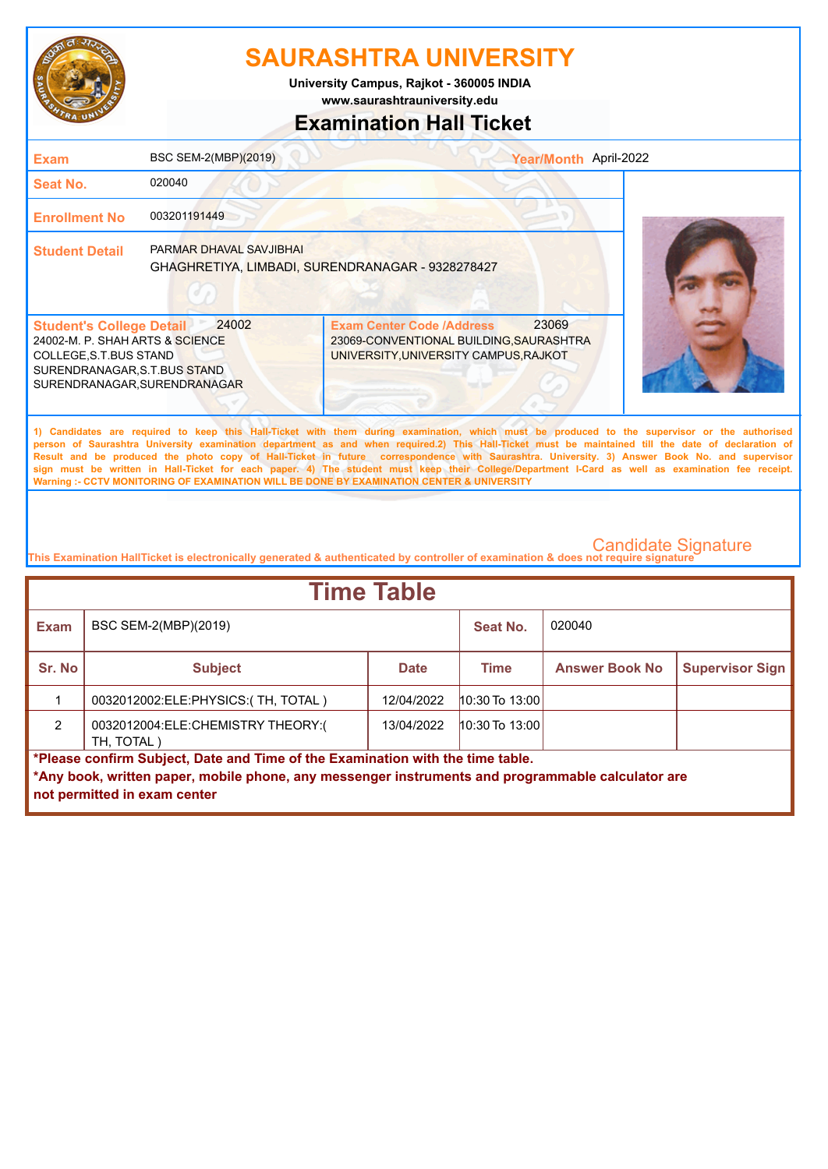

**www.saurashtrauniversity.edu University Campus, Rajkot - 360005 INDIA**

### **Examination Hall Ticket**

| Exam                                                                                                                                                         | BSC SEM-2(MBP)(2019)    |                                                                                                                      | Year/Month April-2022 |                                                                                                                                                                                                                                                                                                                                                                                                                                                                                                                                                                                                        |
|--------------------------------------------------------------------------------------------------------------------------------------------------------------|-------------------------|----------------------------------------------------------------------------------------------------------------------|-----------------------|--------------------------------------------------------------------------------------------------------------------------------------------------------------------------------------------------------------------------------------------------------------------------------------------------------------------------------------------------------------------------------------------------------------------------------------------------------------------------------------------------------------------------------------------------------------------------------------------------------|
| <b>Seat No.</b>                                                                                                                                              | 020040                  |                                                                                                                      |                       |                                                                                                                                                                                                                                                                                                                                                                                                                                                                                                                                                                                                        |
| <b>Enrollment No</b>                                                                                                                                         | 003201191449            |                                                                                                                      |                       |                                                                                                                                                                                                                                                                                                                                                                                                                                                                                                                                                                                                        |
| <b>Student Detail</b>                                                                                                                                        | PARMAR DHAVAL SAVJIBHAI | GHAGHRETIYA, LIMBADI, SURENDRANAGAR - 9328278427                                                                     |                       |                                                                                                                                                                                                                                                                                                                                                                                                                                                                                                                                                                                                        |
| <b>Student's College Detail</b><br>24002-M. P. SHAH ARTS & SCIENCE<br>COLLEGE, S.T.BUS STAND<br>SURENDRANAGAR, S.T.BUS STAND<br>SURENDRANAGAR, SURENDRANAGAR | 24002                   | <b>Exam Center Code /Address</b><br>23069-CONVENTIONAL BUILDING, SAURASHTRA<br>UNIVERSITY, UNIVERSITY CAMPUS, RAJKOT | 23069                 |                                                                                                                                                                                                                                                                                                                                                                                                                                                                                                                                                                                                        |
|                                                                                                                                                              |                         |                                                                                                                      |                       | 1) Candidates are required to keep this Hall-Ticket with them during examination, which must be produced to the supervisor or the authorised<br>person of Saurashtra University examination department as and when required.2) This Hall-Ticket must be maintained till the date of declaration of<br>Result and be produced the photo copy of Hall-Ticket in future correspondence with Saurashtra. University. 3) Answer Book No. and supervisor<br>sign must be written in Hall-Ticket for each paper. 4) The student must keep their College/Department I-Card as well as examination fee receipt. |

**This Examination HallTicket is electronically generated & authenticated by controller of examination & does not require signature** 

**Warning :- CCTV MONITORING OF EXAMINATION WILL BE DONE BY EXAMINATION CENTER & UNIVERSITY**

| <b>Time Table</b>                                                              |                                                                                                   |             |                    |                       |                        |
|--------------------------------------------------------------------------------|---------------------------------------------------------------------------------------------------|-------------|--------------------|-----------------------|------------------------|
| <b>Exam</b>                                                                    | BSC SEM-2(MBP)(2019)                                                                              |             | Seat No.           | 020040                |                        |
| Sr. No                                                                         | <b>Subject</b>                                                                                    | <b>Date</b> | <b>Time</b>        | <b>Answer Book No</b> | <b>Supervisor Sign</b> |
|                                                                                | 0032012002:ELE:PHYSICS:(TH, TOTAL)                                                                | 12/04/2022  | $10:30$ To $13:00$ |                       |                        |
| $\mathcal{P}$                                                                  | 0032012004:ELE:CHEMISTRY THEORY:(<br>TH, TOTAL)                                                   | 13/04/2022  | $10:30$ To 13:00   |                       |                        |
| *Please confirm Subject, Date and Time of the Examination with the time table. |                                                                                                   |             |                    |                       |                        |
|                                                                                | *Any book, written paper, mobile phone, any messenger instruments and programmable calculator are |             |                    |                       |                        |
|                                                                                | not permitted in exam center                                                                      |             |                    |                       |                        |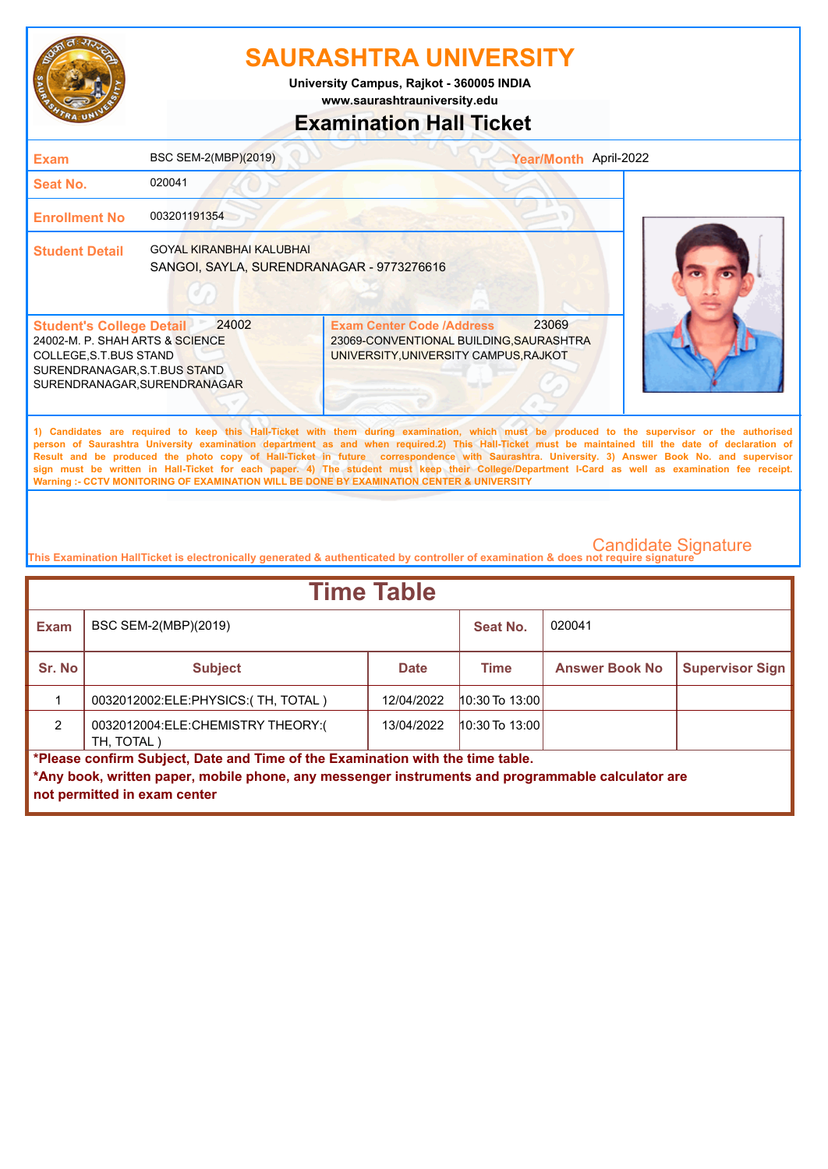

**University Campus, Rajkot - 360005 INDIA**

**www.saurashtrauniversity.edu**

## **Examination Hall Ticket**

| <b>Exam</b>                                                                                                                                                  | BSC SEM-2(MBP)(2019)                                                         | Year/Month April-2022                                                                                                                                                                                                                                                                                                                                                                                                                                                                                                                                                                                                                                                                               |  |
|--------------------------------------------------------------------------------------------------------------------------------------------------------------|------------------------------------------------------------------------------|-----------------------------------------------------------------------------------------------------------------------------------------------------------------------------------------------------------------------------------------------------------------------------------------------------------------------------------------------------------------------------------------------------------------------------------------------------------------------------------------------------------------------------------------------------------------------------------------------------------------------------------------------------------------------------------------------------|--|
| <b>Seat No.</b>                                                                                                                                              | 020041                                                                       |                                                                                                                                                                                                                                                                                                                                                                                                                                                                                                                                                                                                                                                                                                     |  |
| <b>Enrollment No</b>                                                                                                                                         | 003201191354                                                                 |                                                                                                                                                                                                                                                                                                                                                                                                                                                                                                                                                                                                                                                                                                     |  |
| <b>Student Detail</b>                                                                                                                                        | <b>GOYAL KIRANBHAI KALUBHAI</b><br>SANGOI, SAYLA, SURENDRANAGAR - 9773276616 |                                                                                                                                                                                                                                                                                                                                                                                                                                                                                                                                                                                                                                                                                                     |  |
| <b>Student's College Detail</b><br>24002-M. P. SHAH ARTS & SCIENCE<br>COLLEGE, S.T.BUS STAND<br>SURENDRANAGAR, S.T.BUS STAND<br>SURENDRANAGAR, SURENDRANAGAR | 24002                                                                        | 23069<br><b>Exam Center Code /Address</b><br>23069-CONVENTIONAL BUILDING, SAURASHTRA<br>UNIVERSITY, UNIVERSITY CAMPUS, RAJKOT                                                                                                                                                                                                                                                                                                                                                                                                                                                                                                                                                                       |  |
|                                                                                                                                                              |                                                                              | 1) Candidates are required to keep this Hall-Ticket with them during examination, which must be produced to the supervisor or the authorised<br>person of Saurashtra University examination department as and when required.2) This Hall-Ticket must be maintained till the date of declaration of<br>Result and be produced the photo copy of Hall-Ticket in future correspondence with Saurashtra. University. 3) Answer Book No. and supervisor<br>sign must be written in Hall-Ticket for each paper. 4) The student must keep their College/Department I-Card as well as examination fee receipt.<br>Warning :- CCTV MONITORING OF EXAMINATION WILL BE DONE BY EXAMINATION CENTER & UNIVERSITY |  |

| <b>Time Table</b>                                                              |                                                                                                   |             |                  |                       |                        |
|--------------------------------------------------------------------------------|---------------------------------------------------------------------------------------------------|-------------|------------------|-----------------------|------------------------|
| <b>Exam</b>                                                                    | BSC SEM-2(MBP)(2019)                                                                              |             | Seat No.         | 020041                |                        |
| Sr. No                                                                         | <b>Subject</b>                                                                                    | <b>Date</b> | <b>Time</b>      | <b>Answer Book No</b> | <b>Supervisor Sign</b> |
|                                                                                | 0032012002:ELE:PHYSICS:(TH, TOTAL)                                                                | 12/04/2022  | $10:30$ To 13:00 |                       |                        |
| $\mathcal{P}$                                                                  | 0032012004:ELE:CHEMISTRY THEORY:(<br>TH, TOTAL)                                                   | 13/04/2022  | $10:30$ To 13:00 |                       |                        |
| *Please confirm Subject, Date and Time of the Examination with the time table. |                                                                                                   |             |                  |                       |                        |
|                                                                                | *Any book, written paper, mobile phone, any messenger instruments and programmable calculator are |             |                  |                       |                        |
|                                                                                | not permitted in exam center                                                                      |             |                  |                       |                        |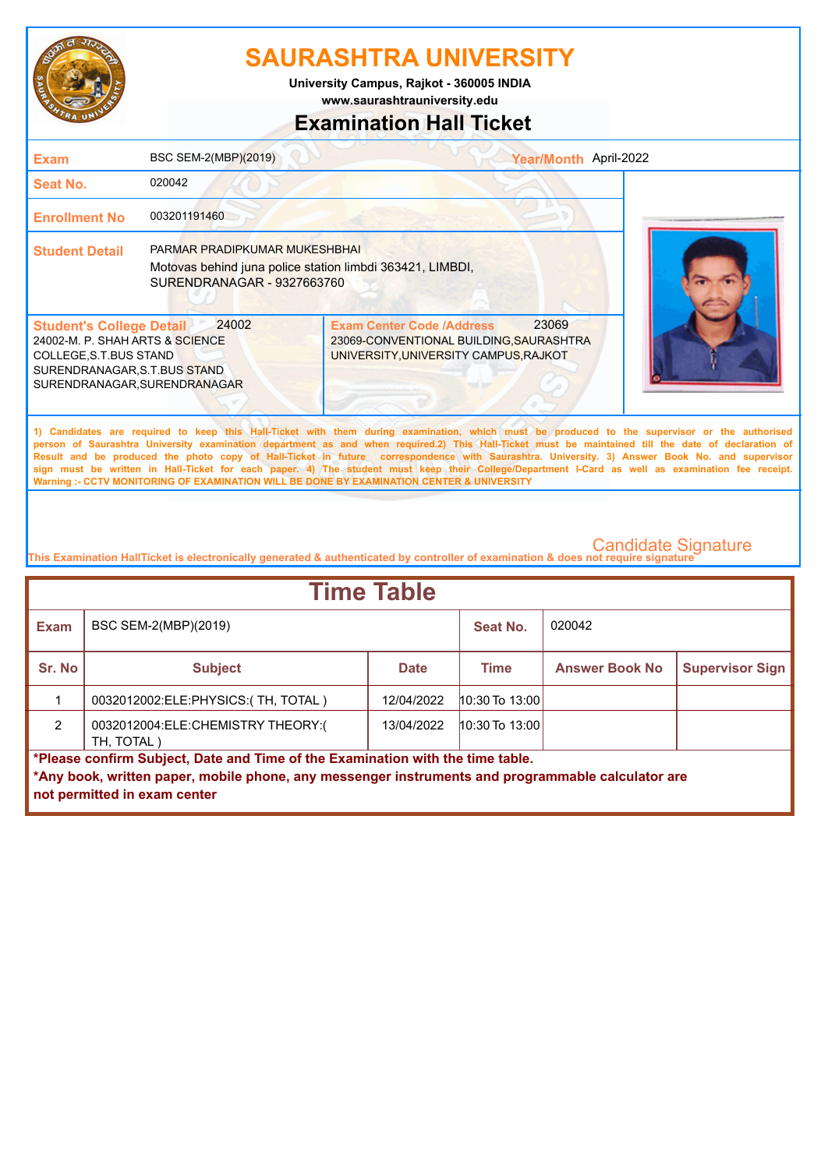

**www.saurashtrauniversity.edu University Campus, Rajkot - 360005 INDIA**

## **Examination Hall Ticket**

| <b>Exam</b>                                                                                                                                                   | BSC SEM-2(MBP)(2019)                                                                                                     |                                                                                                                                                                                                                                                                                                                                                                                                                                                                                                                                                                                                                                                                                                     | Year/Month April-2022 |
|---------------------------------------------------------------------------------------------------------------------------------------------------------------|--------------------------------------------------------------------------------------------------------------------------|-----------------------------------------------------------------------------------------------------------------------------------------------------------------------------------------------------------------------------------------------------------------------------------------------------------------------------------------------------------------------------------------------------------------------------------------------------------------------------------------------------------------------------------------------------------------------------------------------------------------------------------------------------------------------------------------------------|-----------------------|
| Seat No.                                                                                                                                                      | 020042                                                                                                                   |                                                                                                                                                                                                                                                                                                                                                                                                                                                                                                                                                                                                                                                                                                     |                       |
| <b>Enrollment No</b>                                                                                                                                          | 003201191460                                                                                                             |                                                                                                                                                                                                                                                                                                                                                                                                                                                                                                                                                                                                                                                                                                     |                       |
| <b>Student Detail</b>                                                                                                                                         | PARMAR PRADIPKUMAR MUKESHBHAI<br>Motovas behind juna police station limbdi 363421, LIMBDI,<br>SURENDRANAGAR - 9327663760 |                                                                                                                                                                                                                                                                                                                                                                                                                                                                                                                                                                                                                                                                                                     |                       |
| <b>Student's College Detail</b><br>24002-M. P. SHAH ARTS & SCIENCE<br>COLLEGE, S.T. BUS STAND<br>SURENDRANAGAR, S.T.BUS STAND<br>SURENDRANAGAR, SURENDRANAGAR | 24002                                                                                                                    | 23069<br><b>Exam Center Code /Address</b><br>23069-CONVENTIONAL BUILDING, SAURASHTRA<br>UNIVERSITY, UNIVERSITY CAMPUS, RAJKOT                                                                                                                                                                                                                                                                                                                                                                                                                                                                                                                                                                       |                       |
|                                                                                                                                                               |                                                                                                                          | 1) Candidates are required to keep this Hall-Ticket with them during examination, which must be produced to the supervisor or the authorised<br>person of Saurashtra University examination department as and when required.2) This Hall-Ticket must be maintained till the date of declaration of<br>Result and be produced the photo copy of Hall-Ticket in future correspondence with Saurashtra. University. 3) Answer Book No. and supervisor<br>sign must be written in Hall-Ticket for each paper. 4) The student must keep their College/Department I-Card as well as examination fee receipt.<br>Warning :- CCTV MONITORING OF EXAMINATION WILL BE DONE BY EXAMINATION CENTER & UNIVERSITY |                       |
|                                                                                                                                                               |                                                                                                                          |                                                                                                                                                                                                                                                                                                                                                                                                                                                                                                                                                                                                                                                                                                     |                       |

| <b>Time Table</b>                                                                                                                                                                                                   |                                                 |             |                    |                       |                        |
|---------------------------------------------------------------------------------------------------------------------------------------------------------------------------------------------------------------------|-------------------------------------------------|-------------|--------------------|-----------------------|------------------------|
| <b>Exam</b>                                                                                                                                                                                                         | BSC SEM-2(MBP)(2019)                            |             | Seat No.           | 020042                |                        |
| Sr. No                                                                                                                                                                                                              | <b>Subject</b>                                  | <b>Date</b> | <b>Time</b>        | <b>Answer Book No</b> | <b>Supervisor Sign</b> |
|                                                                                                                                                                                                                     | 0032012002:ELE:PHYSICS:(TH, TOTAL)              | 12/04/2022  | $10:30$ To $13:00$ |                       |                        |
| $\mathcal{P}$                                                                                                                                                                                                       | 0032012004:ELE:CHEMISTRY THEORY:(<br>TH. TOTAL) | 13/04/2022  | $10:30$ To $13:00$ |                       |                        |
| *Please confirm Subject, Date and Time of the Examination with the time table.<br>*Any book, written paper, mobile phone, any messenger instruments and programmable calculator are<br>not permitted in exam center |                                                 |             |                    |                       |                        |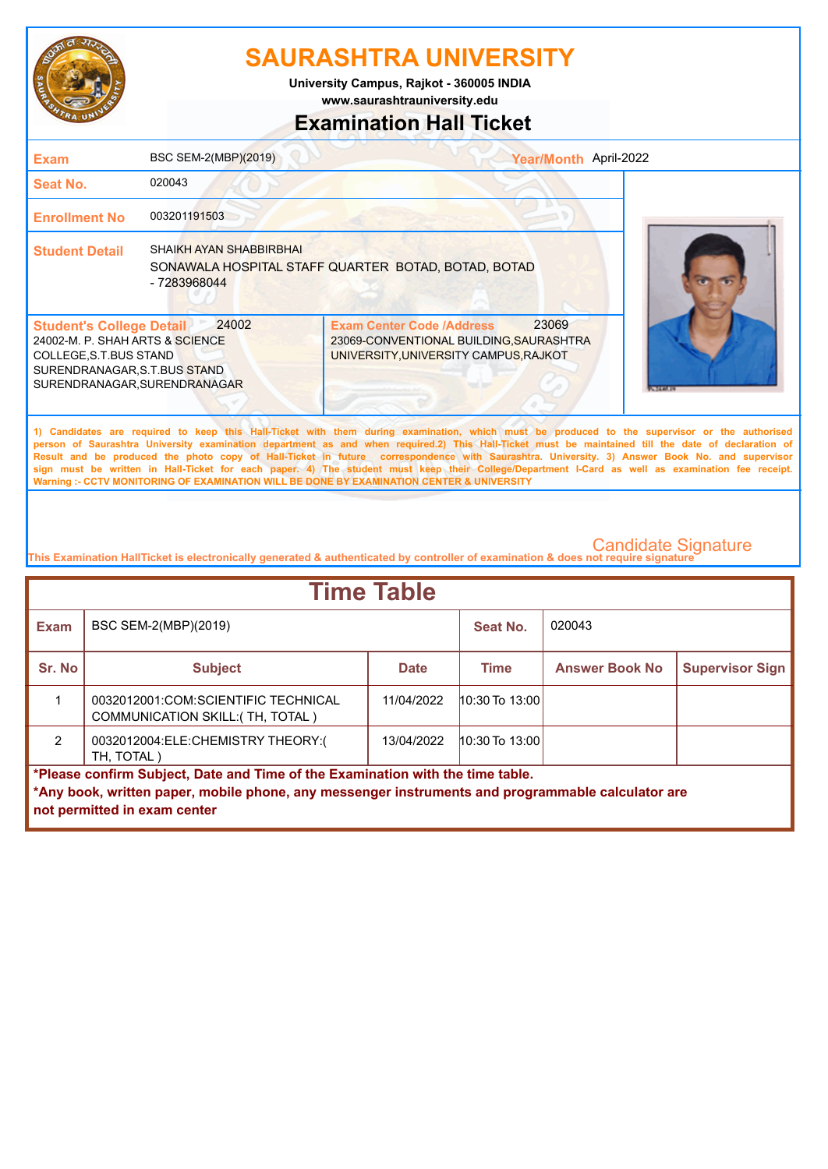

**University Campus, Rajkot - 360005 INDIA**

**www.saurashtrauniversity.edu**

## **Examination Hall Ticket**

| <b>Exam</b>                                                                                                                                                  | BSC SEM-2(MBP)(2019)                           | Year/Month April-2022                                                                                                                                                                                                                                                                                                                                                                                                                                                                                                                                                                                                                                                                               |              |
|--------------------------------------------------------------------------------------------------------------------------------------------------------------|------------------------------------------------|-----------------------------------------------------------------------------------------------------------------------------------------------------------------------------------------------------------------------------------------------------------------------------------------------------------------------------------------------------------------------------------------------------------------------------------------------------------------------------------------------------------------------------------------------------------------------------------------------------------------------------------------------------------------------------------------------------|--------------|
| <b>Seat No.</b>                                                                                                                                              | 020043                                         |                                                                                                                                                                                                                                                                                                                                                                                                                                                                                                                                                                                                                                                                                                     |              |
| <b>Enrollment No</b>                                                                                                                                         | 003201191503                                   |                                                                                                                                                                                                                                                                                                                                                                                                                                                                                                                                                                                                                                                                                                     |              |
| <b>Student Detail</b>                                                                                                                                        | <b>SHAIKH AYAN SHABBIRBHAI</b><br>- 7283968044 | SONAWALA HOSPITAL STAFF QUARTER BOTAD, BOTAD, BOTAD                                                                                                                                                                                                                                                                                                                                                                                                                                                                                                                                                                                                                                                 |              |
| <b>Student's College Detail</b><br>24002-M. P. SHAH ARTS & SCIENCE<br>COLLEGE, S.T.BUS STAND<br>SURENDRANAGAR, S.T.BUS STAND<br>SURENDRANAGAR, SURENDRANAGAR | 24002                                          | 23069<br><b>Exam Center Code /Address</b><br>23069-CONVENTIONAL BUILDING, SAURASHTRA<br>UNIVERSITY, UNIVERSITY CAMPUS, RAJKOT                                                                                                                                                                                                                                                                                                                                                                                                                                                                                                                                                                       | <b>CARRI</b> |
|                                                                                                                                                              |                                                | 1) Candidates are required to keep this Hall-Ticket with them during examination, which must be produced to the supervisor or the authorised<br>person of Saurashtra University examination department as and when required.2) This Hall-Ticket must be maintained till the date of declaration of<br>Result and be produced the photo copy of Hall-Ticket in future correspondence with Saurashtra. University. 3) Answer Book No. and supervisor<br>sign must be written in Hall-Ticket for each paper. 4) The student must keep their College/Department I-Card as well as examination fee receipt.<br>Warning :- CCTV MONITORING OF EXAMINATION WILL BE DONE BY EXAMINATION CENTER & UNIVERSITY |              |
|                                                                                                                                                              |                                                |                                                                                                                                                                                                                                                                                                                                                                                                                                                                                                                                                                                                                                                                                                     |              |

| <b>Time Table</b>                                                              |                                                                                                                                   |             |                    |                       |                        |  |
|--------------------------------------------------------------------------------|-----------------------------------------------------------------------------------------------------------------------------------|-------------|--------------------|-----------------------|------------------------|--|
| <b>Exam</b>                                                                    | BSC SEM-2(MBP)(2019)                                                                                                              |             | Seat No.           | 020043                |                        |  |
| Sr. No                                                                         | <b>Subject</b>                                                                                                                    | <b>Date</b> | <b>Time</b>        | <b>Answer Book No</b> | <b>Supervisor Sign</b> |  |
|                                                                                | 0032012001:COM:SCIENTIFIC TECHNICAL<br><b>COMMUNICATION SKILL: (TH, TOTAL)</b>                                                    | 11/04/2022  | $10:30$ To $13:00$ |                       |                        |  |
| $\overline{2}$                                                                 | 0032012004:ELE:CHEMISTRY THEORY:(<br>TH, TOTAL)                                                                                   | 13/04/2022  | $10:30$ To $13:00$ |                       |                        |  |
| *Please confirm Subject, Date and Time of the Examination with the time table. |                                                                                                                                   |             |                    |                       |                        |  |
|                                                                                | *Any book, written paper, mobile phone, any messenger instruments and programmable calculator are<br>not permitted in exam center |             |                    |                       |                        |  |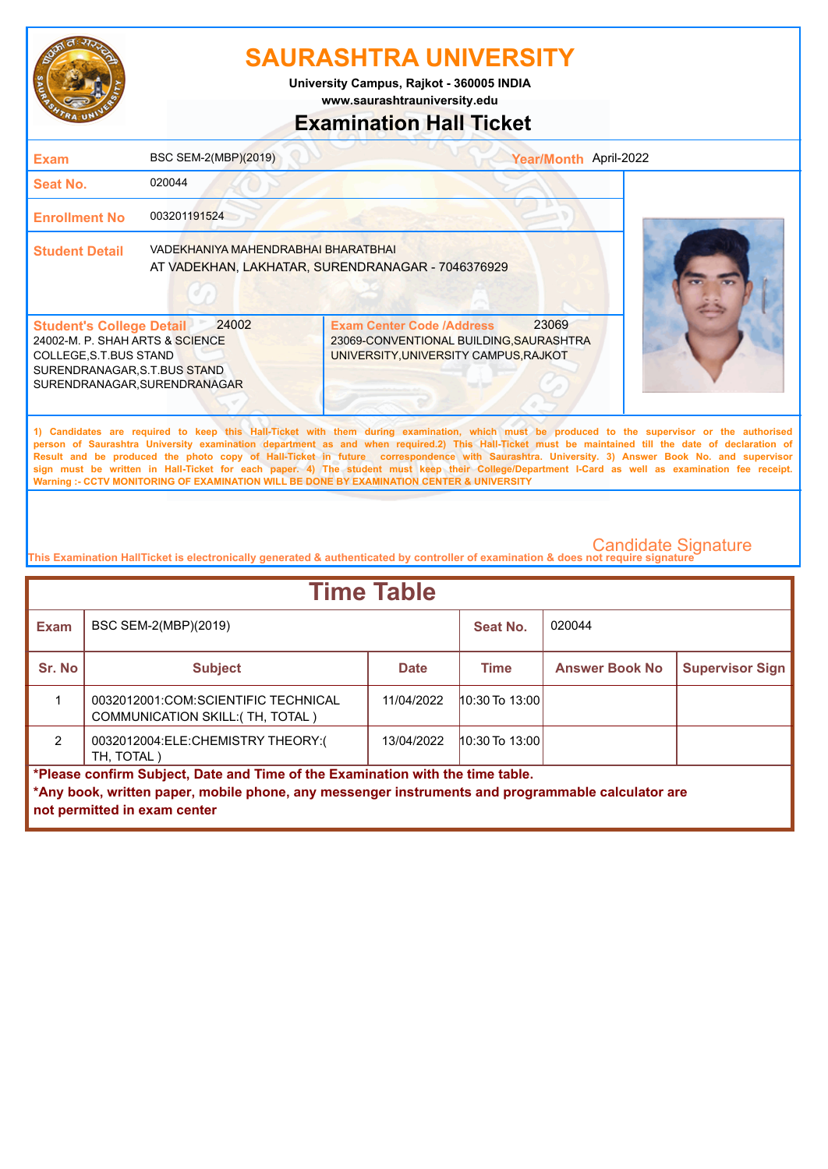

**University Campus, Rajkot - 360005 INDIA**

**www.saurashtrauniversity.edu**

## **Examination Hall Ticket**

| <b>Exam</b>                                                                                                                                                  | BSC SEM-2(MBP)(2019)                | Year/Month April-2022                                                                                                                                                                                                                                                                                                                                                                                                                                                                                                                                                                                                                                                                               |  |
|--------------------------------------------------------------------------------------------------------------------------------------------------------------|-------------------------------------|-----------------------------------------------------------------------------------------------------------------------------------------------------------------------------------------------------------------------------------------------------------------------------------------------------------------------------------------------------------------------------------------------------------------------------------------------------------------------------------------------------------------------------------------------------------------------------------------------------------------------------------------------------------------------------------------------------|--|
| <b>Seat No.</b>                                                                                                                                              | 020044                              |                                                                                                                                                                                                                                                                                                                                                                                                                                                                                                                                                                                                                                                                                                     |  |
| <b>Enrollment No</b>                                                                                                                                         | 003201191524                        |                                                                                                                                                                                                                                                                                                                                                                                                                                                                                                                                                                                                                                                                                                     |  |
| <b>Student Detail</b>                                                                                                                                        | VADEKHANIYA MAHENDRABHAI BHARATBHAI | AT VADEKHAN, LAKHATAR, SURENDRANAGAR - 7046376929                                                                                                                                                                                                                                                                                                                                                                                                                                                                                                                                                                                                                                                   |  |
| <b>Student's College Detail</b><br>24002-M. P. SHAH ARTS & SCIENCE<br>COLLEGE, S.T.BUS STAND<br>SURENDRANAGAR, S.T.BUS STAND<br>SURENDRANAGAR, SURENDRANAGAR | 24002                               | 23069<br><b>Exam Center Code /Address</b><br>23069-CONVENTIONAL BUILDING, SAURASHTRA<br>UNIVERSITY, UNIVERSITY CAMPUS, RAJKOT                                                                                                                                                                                                                                                                                                                                                                                                                                                                                                                                                                       |  |
|                                                                                                                                                              |                                     | 1) Candidates are required to keep this Hall-Ticket with them during examination, which must be produced to the supervisor or the authorised<br>person of Saurashtra University examination department as and when required.2) This Hall-Ticket must be maintained till the date of declaration of<br>Result and be produced the photo copy of Hall-Ticket in future correspondence with Saurashtra. University. 3) Answer Book No. and supervisor<br>sign must be written in Hall-Ticket for each paper. 4) The student must keep their College/Department I-Card as well as examination fee receipt.<br>Warning :- CCTV MONITORING OF EXAMINATION WILL BE DONE BY EXAMINATION CENTER & UNIVERSITY |  |

| <b>Time Table</b>                                                              |                                                                                                                                   |             |                    |                       |                        |  |
|--------------------------------------------------------------------------------|-----------------------------------------------------------------------------------------------------------------------------------|-------------|--------------------|-----------------------|------------------------|--|
| <b>Exam</b>                                                                    | BSC SEM-2(MBP)(2019)                                                                                                              |             | Seat No.           | 020044                |                        |  |
| Sr. No                                                                         | <b>Subject</b>                                                                                                                    | <b>Date</b> | <b>Time</b>        | <b>Answer Book No</b> | <b>Supervisor Sign</b> |  |
|                                                                                | 0032012001:COM:SCIENTIFIC TECHNICAL<br>COMMUNICATION SKILL: (TH, TOTAL)                                                           | 11/04/2022  | $10:30$ To $13:00$ |                       |                        |  |
| $\mathcal{P}$                                                                  | 0032012004:ELE:CHEMISTRY THEORY:(<br>TH, TOTAL)                                                                                   | 13/04/2022  | $10:30$ To $13:00$ |                       |                        |  |
| *Please confirm Subject, Date and Time of the Examination with the time table. |                                                                                                                                   |             |                    |                       |                        |  |
|                                                                                | *Any book, written paper, mobile phone, any messenger instruments and programmable calculator are<br>not permitted in exam center |             |                    |                       |                        |  |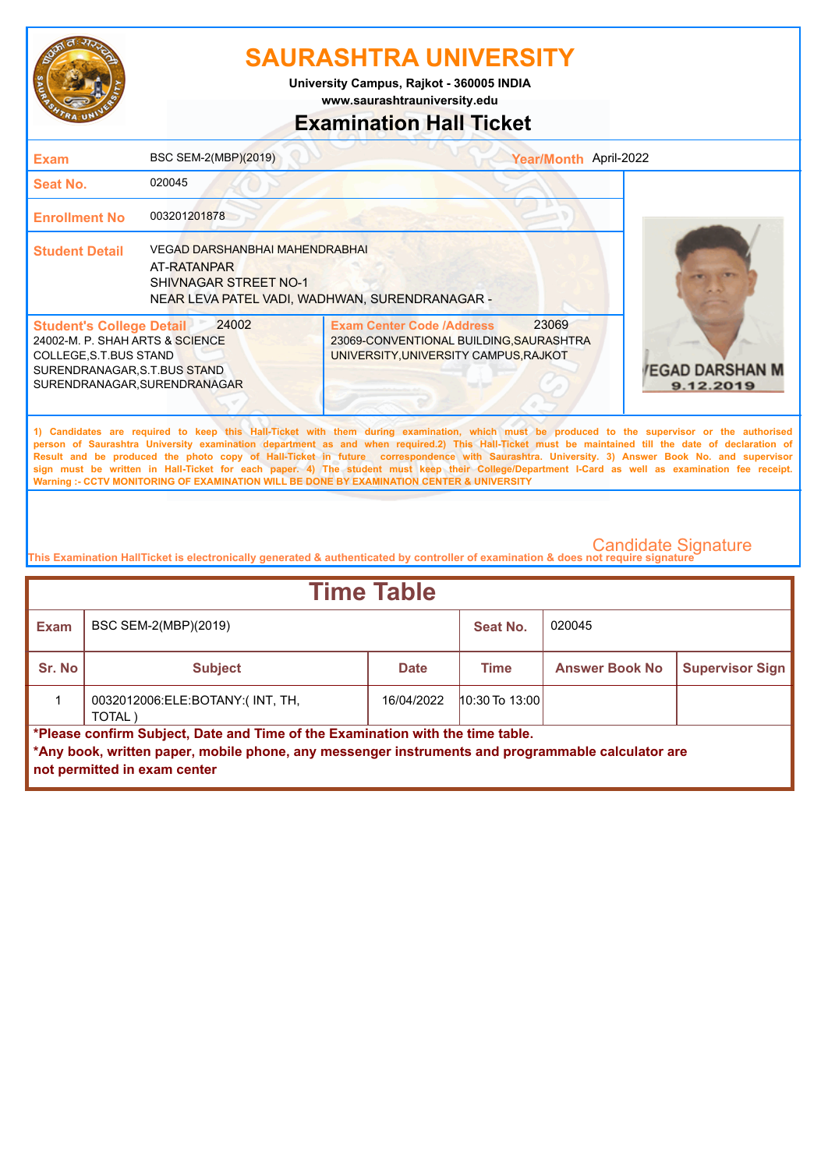

**www.saurashtrauniversity.edu University Campus, Rajkot - 360005 INDIA**

## **Examination Hall Ticket**

| <b>Exam</b>                                                                                                                                                   | BSC SEM-2(MBP)(2019)                                                                                                            |                                                                                                                                                                                                                                           | Year/Month April-2022 |                                                                                                                                                                                                                                                                                                                                                                                                                                                        |
|---------------------------------------------------------------------------------------------------------------------------------------------------------------|---------------------------------------------------------------------------------------------------------------------------------|-------------------------------------------------------------------------------------------------------------------------------------------------------------------------------------------------------------------------------------------|-----------------------|--------------------------------------------------------------------------------------------------------------------------------------------------------------------------------------------------------------------------------------------------------------------------------------------------------------------------------------------------------------------------------------------------------------------------------------------------------|
| <b>Seat No.</b>                                                                                                                                               | 020045                                                                                                                          |                                                                                                                                                                                                                                           |                       |                                                                                                                                                                                                                                                                                                                                                                                                                                                        |
| <b>Enrollment No</b>                                                                                                                                          | 003201201878                                                                                                                    |                                                                                                                                                                                                                                           |                       |                                                                                                                                                                                                                                                                                                                                                                                                                                                        |
| <b>Student Detail</b>                                                                                                                                         | <b>VEGAD DARSHANBHAI MAHENDRABHAI</b><br>AT-RATANPAR<br>SHIVNAGAR STREET NO-1<br>NEAR LEVA PATEL VADI, WADHWAN, SURENDRANAGAR - |                                                                                                                                                                                                                                           |                       |                                                                                                                                                                                                                                                                                                                                                                                                                                                        |
| <b>Student's College Detail</b><br>24002-M. P. SHAH ARTS & SCIENCE<br>COLLEGE, S.T. BUS STAND<br>SURENDRANAGAR, S.T.BUS STAND<br>SURENDRANAGAR, SURENDRANAGAR | 24002                                                                                                                           | <b>Exam Center Code /Address</b><br>23069-CONVENTIONAL BUILDING, SAURASHTRA<br>UNIVERSITY, UNIVERSITY CAMPUS, RAJKOT                                                                                                                      | 23069                 | <b>/EGAD DARSHAN M</b><br>9.12.2019                                                                                                                                                                                                                                                                                                                                                                                                                    |
|                                                                                                                                                               |                                                                                                                                 | 1) Candidates are required to keep this Hall-Ticket with them during examination, which must be produced to the supervisor or the authorised<br>Warning :- CCTV MONITORING OF EXAMINATION WILL BE DONE BY EXAMINATION CENTER & UNIVERSITY |                       | person of Saurashtra University examination department as and when required.2) This Hall-Ticket must be maintained till the date of declaration of<br>Result and be produced the photo copy of Hall-Ticket in future correspondence with Saurashtra. University. 3) Answer Book No. and supervisor<br>sign must be written in Hall-Ticket for each paper. 4) The student must keep their College/Department I-Card as well as examination fee receipt. |
|                                                                                                                                                               |                                                                                                                                 |                                                                                                                                                                                                                                           |                       |                                                                                                                                                                                                                                                                                                                                                                                                                                                        |

| <b>Time Table</b> |                                                                                                                                                                                                                          |             |                    |                       |                        |  |
|-------------------|--------------------------------------------------------------------------------------------------------------------------------------------------------------------------------------------------------------------------|-------------|--------------------|-----------------------|------------------------|--|
| <b>Exam</b>       | BSC SEM-2(MBP)(2019)                                                                                                                                                                                                     |             | Seat No.           | 020045                |                        |  |
| <b>Sr. No</b>     | <b>Subject</b>                                                                                                                                                                                                           | <b>Date</b> | <b>Time</b>        | <b>Answer Book No</b> | <b>Supervisor Sign</b> |  |
|                   | 0032012006:ELE:BOTANY:(INT, TH,<br>TOTAL)                                                                                                                                                                                | 16/04/2022  | $10:30$ To $13:00$ |                       |                        |  |
|                   | *Please confirm Subject, Date and Time of the Examination with the time table.<br>$\,$ *Any book, written paper, mobile phone, any messenger instruments and programmable calculator are<br>not permitted in exam center |             |                    |                       |                        |  |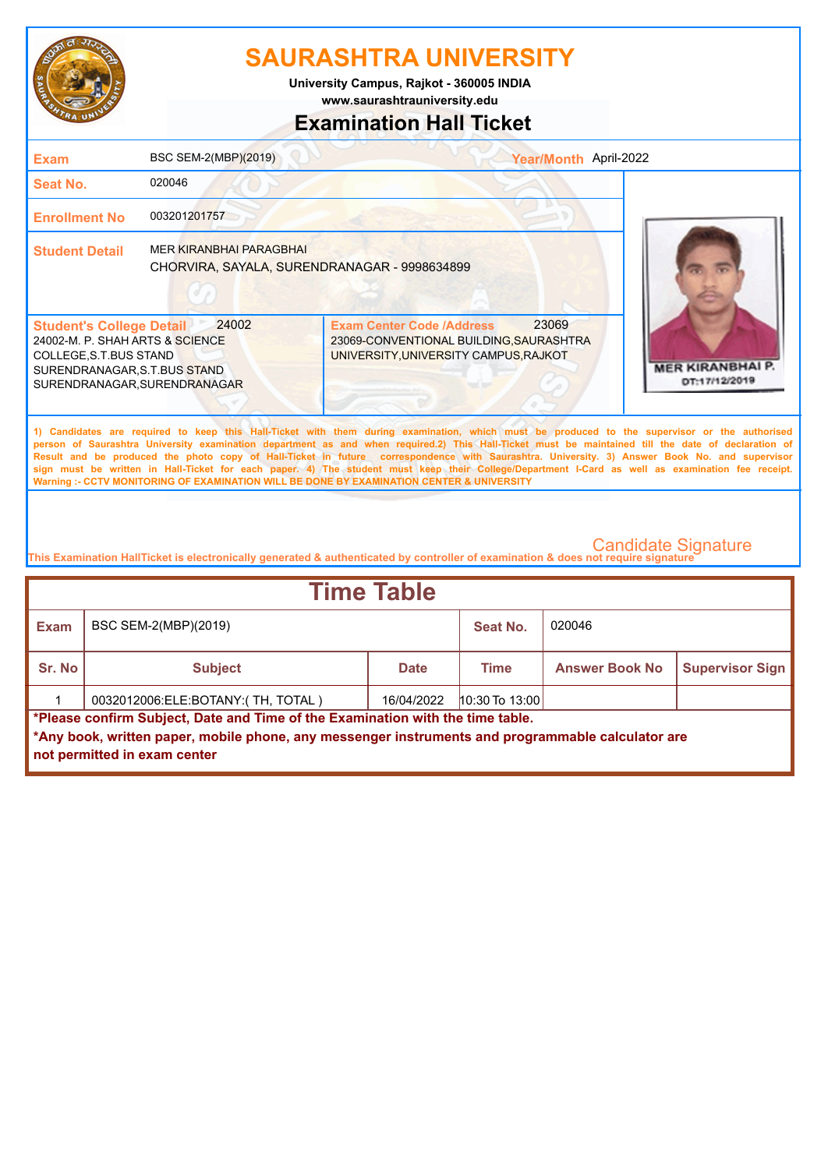

**www.saurashtrauniversity.edu University Campus, Rajkot - 360005 INDIA**

# **Examination Hall Ticket**

| <b>Exam</b>                                                                                                                                                 | BSC SEM-2(MBP)(2019)                                                           | Year/Month April-2022                                                                                                                                                                                                                                                                                                                                                                                                                                                                                                                                                                                                                                                                               |                                          |
|-------------------------------------------------------------------------------------------------------------------------------------------------------------|--------------------------------------------------------------------------------|-----------------------------------------------------------------------------------------------------------------------------------------------------------------------------------------------------------------------------------------------------------------------------------------------------------------------------------------------------------------------------------------------------------------------------------------------------------------------------------------------------------------------------------------------------------------------------------------------------------------------------------------------------------------------------------------------------|------------------------------------------|
| Seat No.                                                                                                                                                    | 020046                                                                         |                                                                                                                                                                                                                                                                                                                                                                                                                                                                                                                                                                                                                                                                                                     |                                          |
| <b>Enrollment No</b>                                                                                                                                        | 003201201757                                                                   |                                                                                                                                                                                                                                                                                                                                                                                                                                                                                                                                                                                                                                                                                                     |                                          |
| <b>Student Detail</b>                                                                                                                                       | <b>MER KIRANBHAI PARAGBHAI</b><br>CHORVIRA, SAYALA, SURENDRANAGAR - 9998634899 |                                                                                                                                                                                                                                                                                                                                                                                                                                                                                                                                                                                                                                                                                                     |                                          |
| <b>Student's College Detail</b><br>24002-M. P. SHAH ARTS & SCIENCE<br>COLLEGE, S.T.BUS STAND<br>SURENDRANAGAR, S.T.BUS STAND<br>SURENDRANAGAR.SURENDRANAGAR | 24002                                                                          | 23069<br><b>Exam Center Code /Address</b><br>23069-CONVENTIONAL BUILDING, SAURASHTRA<br>UNIVERSITY, UNIVERSITY CAMPUS, RAJKOT                                                                                                                                                                                                                                                                                                                                                                                                                                                                                                                                                                       | <b>MER KIRANBHAI P.</b><br>DT:17/12/2019 |
|                                                                                                                                                             |                                                                                | 1) Candidates are required to keep this Hall-Ticket with them during examination, which must be produced to the supervisor or the authorised<br>person of Saurashtra University examination department as and when required.2) This Hall-Ticket must be maintained till the date of declaration of<br>Result and be produced the photo copy of Hall-Ticket in future correspondence with Saurashtra. University. 3) Answer Book No. and supervisor<br>sign must be written in Hall-Ticket for each paper. 4) The student must keep their College/Department I-Card as well as examination fee receipt.<br>Warning :- CCTV MONITORING OF EXAMINATION WILL BE DONE BY EXAMINATION CENTER & UNIVERSITY |                                          |
|                                                                                                                                                             |                                                                                |                                                                                                                                                                                                                                                                                                                                                                                                                                                                                                                                                                                                                                                                                                     | Condidata Cianatura                      |

| <b>Time Table</b>                                                                                                                                                                                                   |                                   |             |                  |                       |                        |  |
|---------------------------------------------------------------------------------------------------------------------------------------------------------------------------------------------------------------------|-----------------------------------|-------------|------------------|-----------------------|------------------------|--|
| <b>Exam</b>                                                                                                                                                                                                         | BSC SEM-2(MBP)(2019)              |             | Seat No.         | 020046                |                        |  |
| Sr. No                                                                                                                                                                                                              | <b>Subject</b>                    | <b>Date</b> | Time             | <b>Answer Book No</b> | <b>Supervisor Sign</b> |  |
|                                                                                                                                                                                                                     | 0032012006:ELE:BOTANY:(TH, TOTAL) | 16/04/2022  | $10:30$ To 13:00 |                       |                        |  |
| *Please confirm Subject, Date and Time of the Examination with the time table.<br>*Any book, written paper, mobile phone, any messenger instruments and programmable calculator are<br>not permitted in exam center |                                   |             |                  |                       |                        |  |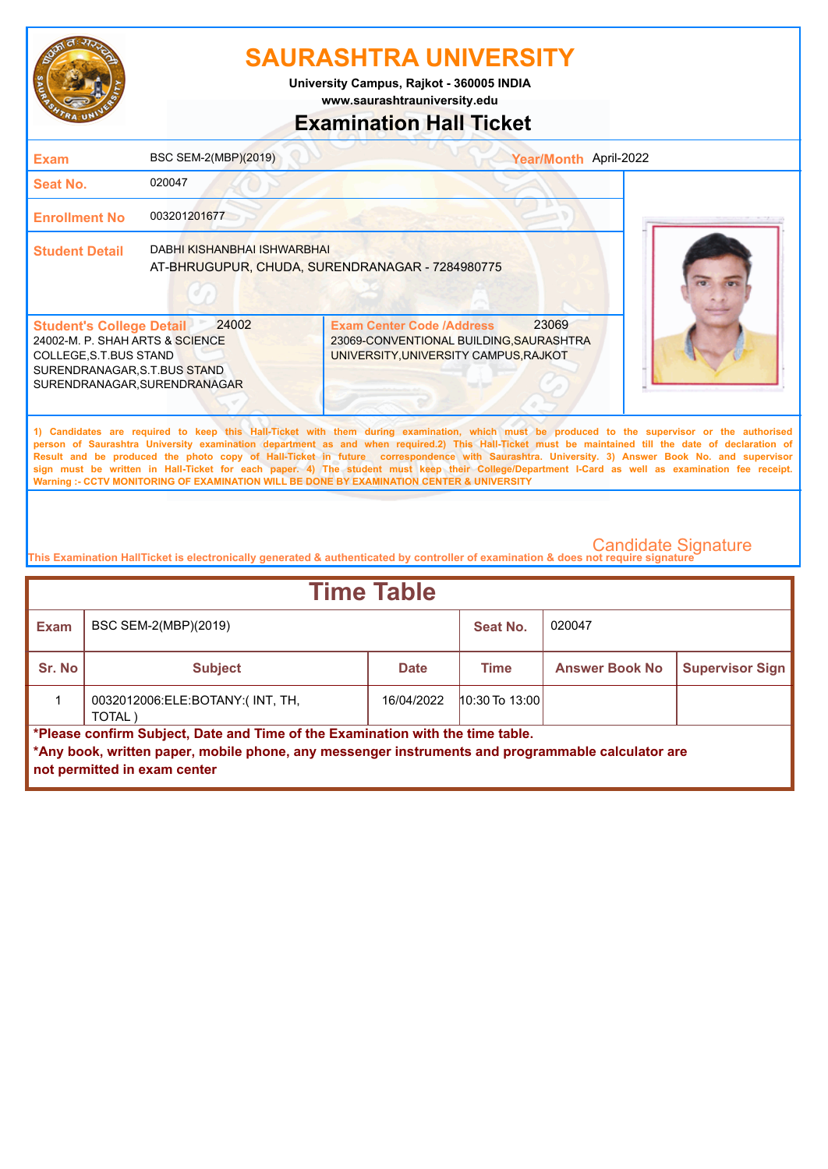

**University Campus, Rajkot - 360005 INDIA**

**www.saurashtrauniversity.edu**

### **Examination Hall Ticket**

| Exam                                                                                                                                                                                                                                                                                                                                                                                                                                                                                                                                                                                                                                                                                                | BSC SEM-2(MBP)(2019)        | Year/Month April-2022                                                                                                         |  |  |  |
|-----------------------------------------------------------------------------------------------------------------------------------------------------------------------------------------------------------------------------------------------------------------------------------------------------------------------------------------------------------------------------------------------------------------------------------------------------------------------------------------------------------------------------------------------------------------------------------------------------------------------------------------------------------------------------------------------------|-----------------------------|-------------------------------------------------------------------------------------------------------------------------------|--|--|--|
| Seat No.                                                                                                                                                                                                                                                                                                                                                                                                                                                                                                                                                                                                                                                                                            | 020047                      |                                                                                                                               |  |  |  |
| <b>Enrollment No</b>                                                                                                                                                                                                                                                                                                                                                                                                                                                                                                                                                                                                                                                                                | 003201201677                |                                                                                                                               |  |  |  |
| <b>Student Detail</b>                                                                                                                                                                                                                                                                                                                                                                                                                                                                                                                                                                                                                                                                               | DABHI KISHANBHAI ISHWARBHAI | AT-BHRUGUPUR, CHUDA, SURENDRANAGAR - 7284980775                                                                               |  |  |  |
| <b>Student's College Detail</b><br>24002-M. P. SHAH ARTS & SCIENCE<br>COLLEGE, S.T. BUS STAND<br>SURENDRANAGAR, S.T.BUS STAND<br>SURENDRANAGAR, SURENDRANAGAR                                                                                                                                                                                                                                                                                                                                                                                                                                                                                                                                       | 24002                       | 23069<br><b>Exam Center Code /Address</b><br>23069-CONVENTIONAL BUILDING, SAURASHTRA<br>UNIVERSITY, UNIVERSITY CAMPUS, RAJKOT |  |  |  |
| 1) Candidates are required to keep this Hall-Ticket with them during examination, which must be produced to the supervisor or the authorised<br>person of Saurashtra University examination department as and when required.2) This Hall-Ticket must be maintained till the date of declaration of<br>Result and be produced the photo copy of Hall-Ticket in future correspondence with Saurashtra. University. 3) Answer Book No. and supervisor<br>sign must be written in Hall-Ticket for each paper. 4) The student must keep their College/Department I-Card as well as examination fee receipt.<br>Warning :- CCTV MONITORING OF EXAMINATION WILL BE DONE BY EXAMINATION CENTER & UNIVERSITY |                             |                                                                                                                               |  |  |  |

| <b>Time Table</b> |                                                                                                                                                                                                                     |             |                  |                       |                        |  |
|-------------------|---------------------------------------------------------------------------------------------------------------------------------------------------------------------------------------------------------------------|-------------|------------------|-----------------------|------------------------|--|
| Exam              | BSC SEM-2(MBP)(2019)                                                                                                                                                                                                |             | Seat No.         | 020047                |                        |  |
| Sr. No            | <b>Subject</b>                                                                                                                                                                                                      | <b>Date</b> | Time             | <b>Answer Book No</b> | <b>Supervisor Sign</b> |  |
|                   | 0032012006:ELE:BOTANY:(INT, TH,<br>TOTAL)                                                                                                                                                                           | 16/04/2022  | $10:30$ To 13:00 |                       |                        |  |
|                   | *Please confirm Subject, Date and Time of the Examination with the time table.<br>*Any book, written paper, mobile phone, any messenger instruments and programmable calculator are<br>not permitted in exam center |             |                  |                       |                        |  |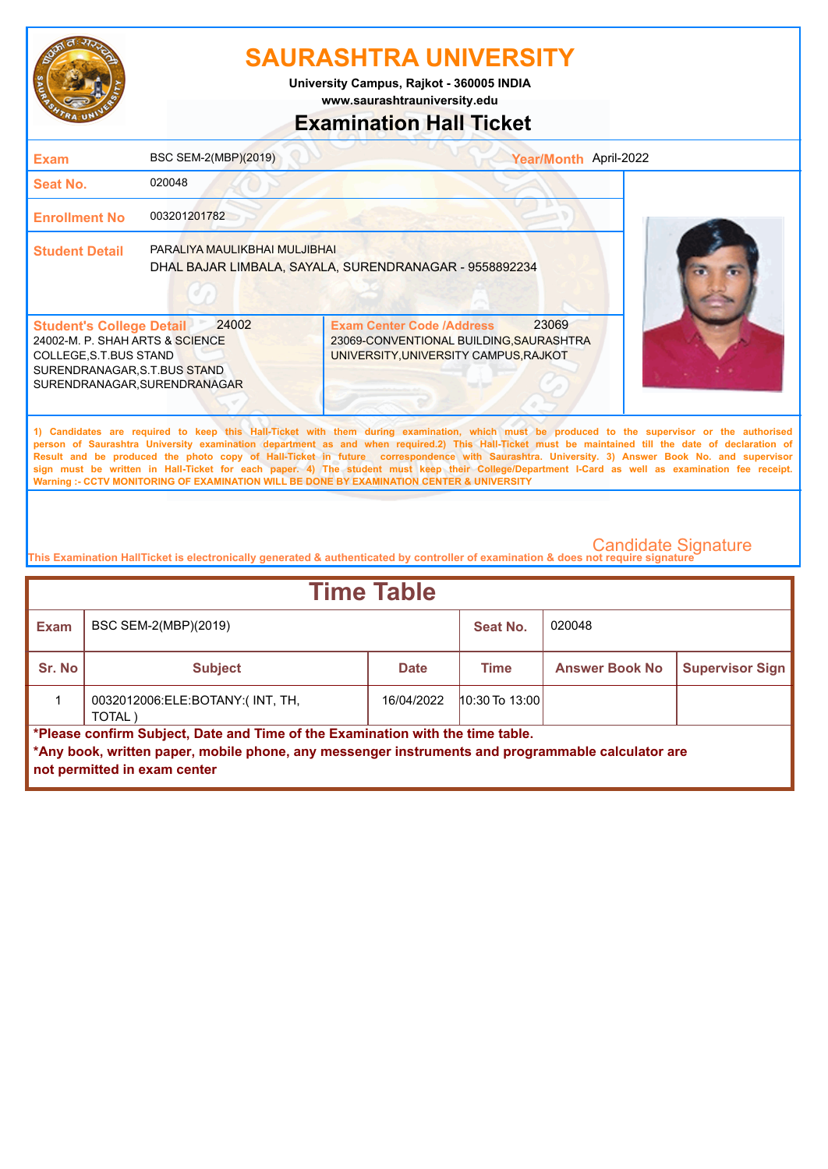

**www.saurashtrauniversity.edu University Campus, Rajkot - 360005 INDIA**

# **Examination Hall Ticket**

| <b>Exam</b>                                                                                                                                                                                                                                                                                                                                                                                                                                                                                                                                                                                                                                                                                         | BSC SEM-2(MBP)(2019)          | Year/Month April-2022                                                                                                         |  |  |
|-----------------------------------------------------------------------------------------------------------------------------------------------------------------------------------------------------------------------------------------------------------------------------------------------------------------------------------------------------------------------------------------------------------------------------------------------------------------------------------------------------------------------------------------------------------------------------------------------------------------------------------------------------------------------------------------------------|-------------------------------|-------------------------------------------------------------------------------------------------------------------------------|--|--|
| Seat No.                                                                                                                                                                                                                                                                                                                                                                                                                                                                                                                                                                                                                                                                                            | 020048                        |                                                                                                                               |  |  |
| <b>Enrollment No</b>                                                                                                                                                                                                                                                                                                                                                                                                                                                                                                                                                                                                                                                                                | 003201201782                  |                                                                                                                               |  |  |
| <b>Student Detail</b>                                                                                                                                                                                                                                                                                                                                                                                                                                                                                                                                                                                                                                                                               | PARALIYA MAULIKBHAI MULJIBHAI | DHAL BAJAR LIMBALA, SAYALA, SURENDRANAGAR - 9558892234                                                                        |  |  |
| <b>Student's College Detail</b><br>24002-M. P. SHAH ARTS & SCIENCE<br>COLLEGE, S.T.BUS STAND<br>SURENDRANAGAR, S.T.BUS STAND<br>SURENDRANAGAR, SURENDRANAGAR                                                                                                                                                                                                                                                                                                                                                                                                                                                                                                                                        | 24002                         | 23069<br><b>Exam Center Code /Address</b><br>23069-CONVENTIONAL BUILDING, SAURASHTRA<br>UNIVERSITY, UNIVERSITY CAMPUS, RAJKOT |  |  |
| 1) Candidates are required to keep this Hall-Ticket with them during examination, which must be produced to the supervisor or the authorised<br>person of Saurashtra University examination department as and when required.2) This Hall-Ticket must be maintained till the date of declaration of<br>Result and be produced the photo copy of Hall-Ticket in future correspondence with Saurashtra. University. 3) Answer Book No. and supervisor<br>sign must be written in Hall-Ticket for each paper. 4) The student must keep their College/Department I-Card as well as examination fee receipt.<br>Warning :- CCTV MONITORING OF EXAMINATION WILL BE DONE BY EXAMINATION CENTER & UNIVERSITY |                               |                                                                                                                               |  |  |
|                                                                                                                                                                                                                                                                                                                                                                                                                                                                                                                                                                                                                                                                                                     |                               |                                                                                                                               |  |  |

| <b>Time Table</b> |                                                                                                                                                                                                                     |             |                    |                       |                        |  |
|-------------------|---------------------------------------------------------------------------------------------------------------------------------------------------------------------------------------------------------------------|-------------|--------------------|-----------------------|------------------------|--|
| <b>Exam</b>       | BSC SEM-2(MBP)(2019)                                                                                                                                                                                                |             | Seat No.           | 020048                |                        |  |
| Sr. No            | <b>Subject</b>                                                                                                                                                                                                      | <b>Date</b> | <b>Time</b>        | <b>Answer Book No</b> | <b>Supervisor Sign</b> |  |
|                   | 0032012006:ELE:BOTANY:(INT, TH,<br>TOTAL)                                                                                                                                                                           | 16/04/2022  | $10:30$ To $13:00$ |                       |                        |  |
|                   | *Please confirm Subject, Date and Time of the Examination with the time table.<br>*Any book, written paper, mobile phone, any messenger instruments and programmable calculator are<br>not permitted in exam center |             |                    |                       |                        |  |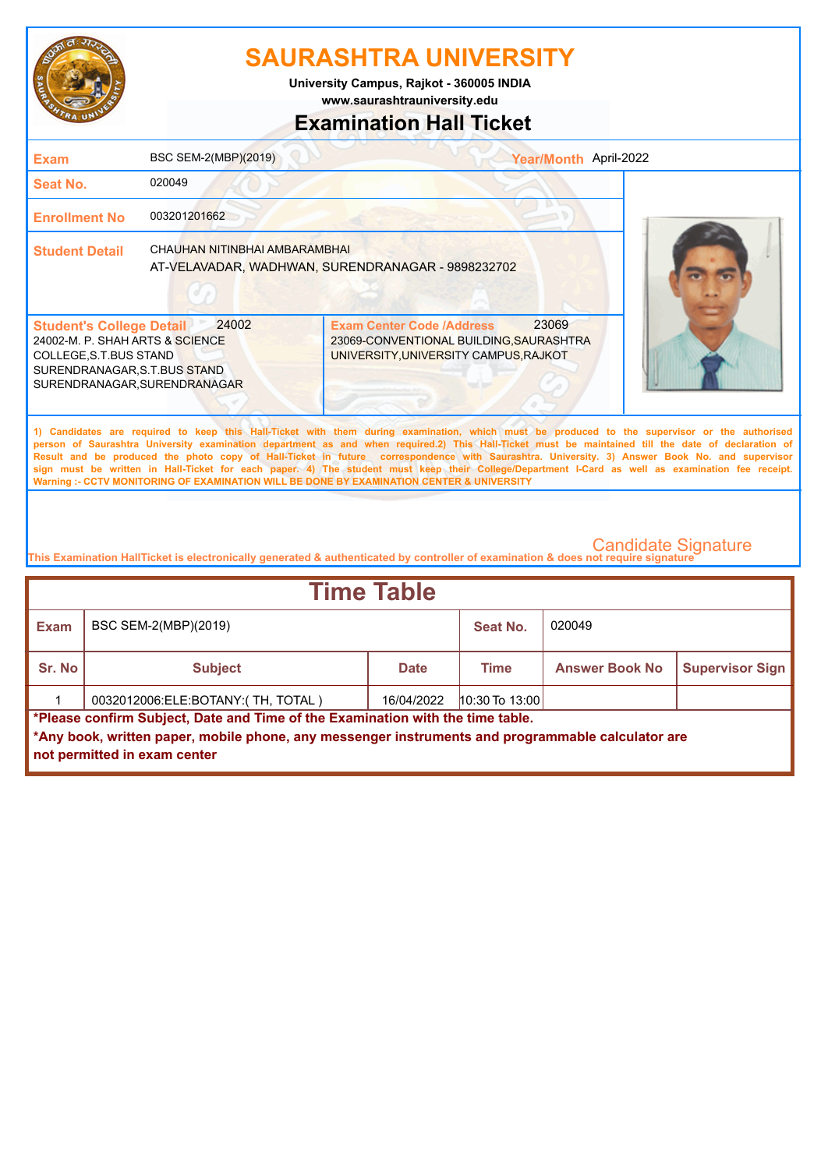

**University Campus, Rajkot - 360005 INDIA**

**www.saurashtrauniversity.edu**

### **Examination Hall Ticket**

| <b>Exam</b>                                                                                                                                                   | BSC SEM-2(MBP)(2019)          | Year/Month April-2022                                                                                                                                                                                                                                                                                                                                                                                                                                                                                                                                                                                                                                                                               |  |
|---------------------------------------------------------------------------------------------------------------------------------------------------------------|-------------------------------|-----------------------------------------------------------------------------------------------------------------------------------------------------------------------------------------------------------------------------------------------------------------------------------------------------------------------------------------------------------------------------------------------------------------------------------------------------------------------------------------------------------------------------------------------------------------------------------------------------------------------------------------------------------------------------------------------------|--|
| Seat No.                                                                                                                                                      | 020049                        |                                                                                                                                                                                                                                                                                                                                                                                                                                                                                                                                                                                                                                                                                                     |  |
| <b>Enrollment No</b>                                                                                                                                          | 003201201662                  |                                                                                                                                                                                                                                                                                                                                                                                                                                                                                                                                                                                                                                                                                                     |  |
| <b>Student Detail</b>                                                                                                                                         | CHAUHAN NITINBHAI AMBARAMBHAI | AT-VELAVADAR, WADHWAN, SURENDRANAGAR - 9898232702                                                                                                                                                                                                                                                                                                                                                                                                                                                                                                                                                                                                                                                   |  |
| <b>Student's College Detail</b><br>24002-M. P. SHAH ARTS & SCIENCE<br>COLLEGE, S.T. BUS STAND<br>SURENDRANAGAR, S.T.BUS STAND<br>SURENDRANAGAR, SURENDRANAGAR | 24002                         | 23069<br><b>Exam Center Code /Address</b><br>23069-CONVENTIONAL BUILDING, SAURASHTRA<br>UNIVERSITY, UNIVERSITY CAMPUS, RAJKOT                                                                                                                                                                                                                                                                                                                                                                                                                                                                                                                                                                       |  |
|                                                                                                                                                               |                               | 1) Candidates are required to keep this Hall-Ticket with them during examination, which must be produced to the supervisor or the authorised<br>person of Saurashtra University examination department as and when required.2) This Hall-Ticket must be maintained till the date of declaration of<br>Result and be produced the photo copy of Hall-Ticket in future correspondence with Saurashtra. University. 3) Answer Book No. and supervisor<br>sign must be written in Hall-Ticket for each paper. 4) The student must keep their College/Department I-Card as well as examination fee receipt.<br>Warning :- CCTV MONITORING OF EXAMINATION WILL BE DONE BY EXAMINATION CENTER & UNIVERSITY |  |
|                                                                                                                                                               |                               |                                                                                                                                                                                                                                                                                                                                                                                                                                                                                                                                                                                                                                                                                                     |  |

| <b>Time Table</b>                                                              |                                                                                                                                   |             |                  |                       |                        |  |  |
|--------------------------------------------------------------------------------|-----------------------------------------------------------------------------------------------------------------------------------|-------------|------------------|-----------------------|------------------------|--|--|
| <b>Exam</b>                                                                    | BSC SEM-2(MBP)(2019)<br>Seat No.                                                                                                  |             |                  | 020049                |                        |  |  |
| Sr. No                                                                         | <b>Subject</b>                                                                                                                    | <b>Date</b> | Time             | <b>Answer Book No</b> | <b>Supervisor Sign</b> |  |  |
|                                                                                | 0032012006:ELE:BOTANY:(TH, TOTAL)                                                                                                 | 16/04/2022  | $10:30$ To 13:00 |                       |                        |  |  |
| *Please confirm Subject, Date and Time of the Examination with the time table. |                                                                                                                                   |             |                  |                       |                        |  |  |
|                                                                                | *Any book, written paper, mobile phone, any messenger instruments and programmable calculator are<br>not permitted in exam center |             |                  |                       |                        |  |  |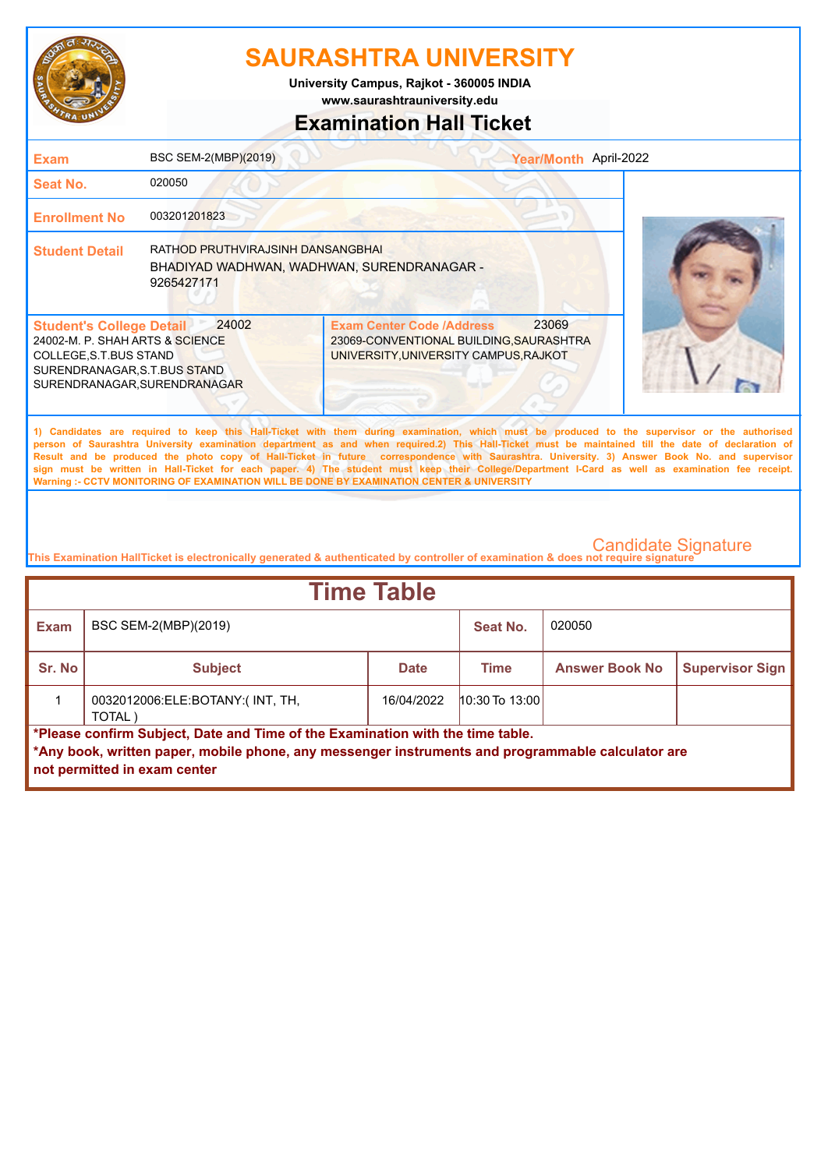

**www.saurashtrauniversity.edu University Campus, Rajkot - 360005 INDIA**

## **Examination Hall Ticket**

| <b>Exam</b>                                                                                                                                                                                                                                                                                                                                                                                                                                                                                                                                                                                                                                                                                         | BSC SEM-2(MBP)(2019)                                                                          | Year/Month April-2022                                                                                                         |  |  |  |
|-----------------------------------------------------------------------------------------------------------------------------------------------------------------------------------------------------------------------------------------------------------------------------------------------------------------------------------------------------------------------------------------------------------------------------------------------------------------------------------------------------------------------------------------------------------------------------------------------------------------------------------------------------------------------------------------------------|-----------------------------------------------------------------------------------------------|-------------------------------------------------------------------------------------------------------------------------------|--|--|--|
| <b>Seat No.</b>                                                                                                                                                                                                                                                                                                                                                                                                                                                                                                                                                                                                                                                                                     | 020050                                                                                        |                                                                                                                               |  |  |  |
| <b>Enrollment No</b>                                                                                                                                                                                                                                                                                                                                                                                                                                                                                                                                                                                                                                                                                | 003201201823                                                                                  |                                                                                                                               |  |  |  |
| <b>Student Detail</b>                                                                                                                                                                                                                                                                                                                                                                                                                                                                                                                                                                                                                                                                               | RATHOD PRUTHVIRAJSINH DANSANGBHAI<br>BHADIYAD WADHWAN, WADHWAN, SURENDRANAGAR -<br>9265427171 |                                                                                                                               |  |  |  |
| <b>Student's College Detail</b><br>24002-M. P. SHAH ARTS & SCIENCE<br>COLLEGE, S.T.BUS STAND<br>SURENDRANAGAR, S.T.BUS STAND<br>SURENDRANAGAR, SURENDRANAGAR                                                                                                                                                                                                                                                                                                                                                                                                                                                                                                                                        | 24002                                                                                         | 23069<br><b>Exam Center Code /Address</b><br>23069-CONVENTIONAL BUILDING, SAURASHTRA<br>UNIVERSITY, UNIVERSITY CAMPUS, RAJKOT |  |  |  |
| 1) Candidates are required to keep this Hall-Ticket with them during examination, which must be produced to the supervisor or the authorised<br>person of Saurashtra University examination department as and when required.2) This Hall-Ticket must be maintained till the date of declaration of<br>Result and be produced the photo copy of Hall-Ticket in future correspondence with Saurashtra. University. 3) Answer Book No. and supervisor<br>sign must be written in Hall-Ticket for each paper. 4) The student must keep their College/Department I-Card as well as examination fee receipt.<br>Warning :- CCTV MONITORING OF EXAMINATION WILL BE DONE BY EXAMINATION CENTER & UNIVERSITY |                                                                                               |                                                                                                                               |  |  |  |
|                                                                                                                                                                                                                                                                                                                                                                                                                                                                                                                                                                                                                                                                                                     |                                                                                               |                                                                                                                               |  |  |  |

| <b>Time Table</b> |                                                                                                                                                                                                                     |             |                  |                       |                        |  |
|-------------------|---------------------------------------------------------------------------------------------------------------------------------------------------------------------------------------------------------------------|-------------|------------------|-----------------------|------------------------|--|
| <b>Exam</b>       | BSC SEM-2(MBP)(2019)                                                                                                                                                                                                |             | Seat No.         | 020050                |                        |  |
| Sr. No            | <b>Subject</b>                                                                                                                                                                                                      | <b>Date</b> | <b>Time</b>      | <b>Answer Book No</b> | <b>Supervisor Sign</b> |  |
|                   | 0032012006:ELE:BOTANY:(INT, TH,<br>TOTAL)                                                                                                                                                                           | 16/04/2022  | $10:30$ To 13:00 |                       |                        |  |
|                   | *Please confirm Subject, Date and Time of the Examination with the time table.<br>*Any book, written paper, mobile phone, any messenger instruments and programmable calculator are<br>not permitted in exam center |             |                  |                       |                        |  |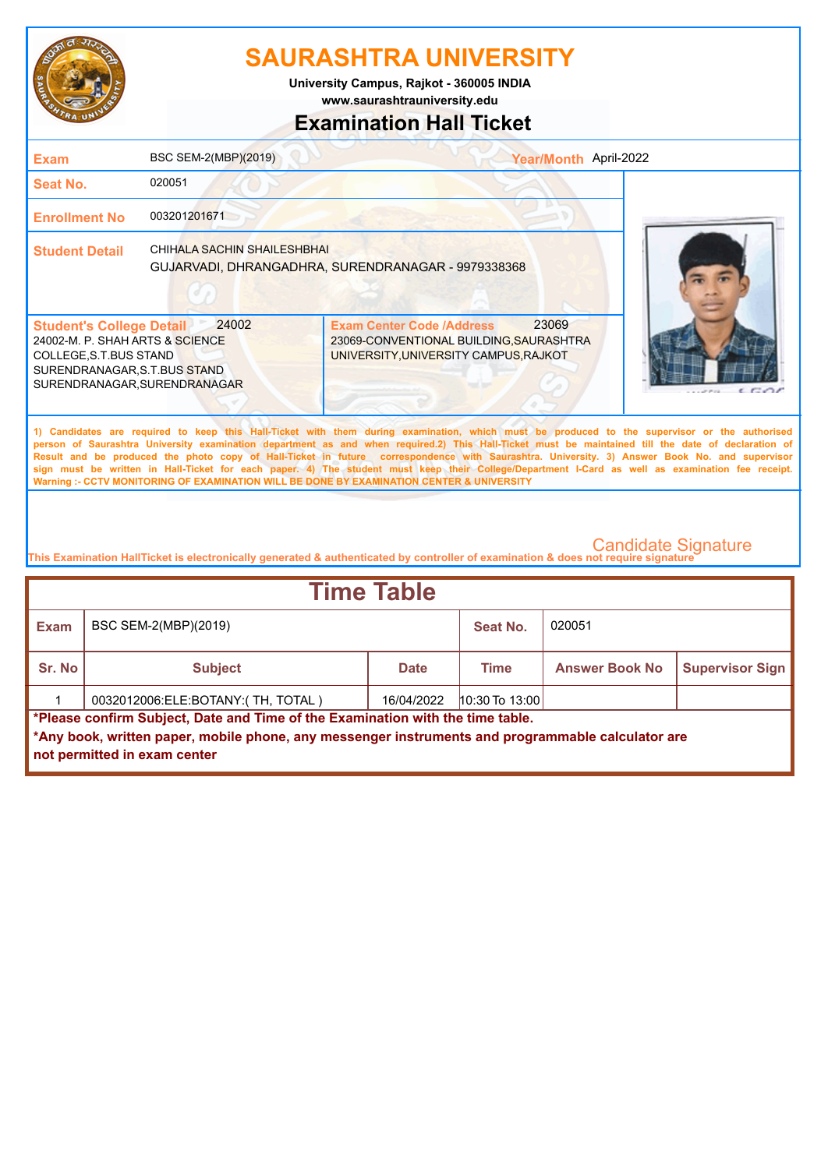

**www.saurashtrauniversity.edu University Campus, Rajkot - 360005 INDIA**

## **Examination Hall Ticket**

| <b>Exam</b>                                                                                                                                                   | BSC SEM-2(MBP)(2019)          | Year/Month April-2022                                                                                                                                                                                                                                                                                                                                                                                                                                                                                                                                                                                                                                                                               |                       |
|---------------------------------------------------------------------------------------------------------------------------------------------------------------|-------------------------------|-----------------------------------------------------------------------------------------------------------------------------------------------------------------------------------------------------------------------------------------------------------------------------------------------------------------------------------------------------------------------------------------------------------------------------------------------------------------------------------------------------------------------------------------------------------------------------------------------------------------------------------------------------------------------------------------------------|-----------------------|
| <b>Seat No.</b>                                                                                                                                               | 020051                        |                                                                                                                                                                                                                                                                                                                                                                                                                                                                                                                                                                                                                                                                                                     |                       |
| <b>Enrollment No</b>                                                                                                                                          | 003201201671                  |                                                                                                                                                                                                                                                                                                                                                                                                                                                                                                                                                                                                                                                                                                     |                       |
| <b>Student Detail</b>                                                                                                                                         | CHIHAI A SACHIN SHAIL ESHBHAI | GUJARVADI, DHRANGADHRA, SURENDRANAGAR - 9979338368                                                                                                                                                                                                                                                                                                                                                                                                                                                                                                                                                                                                                                                  |                       |
| <b>Student's College Detail</b><br>24002-M. P. SHAH ARTS & SCIENCE<br>COLLEGE, S.T. BUS STAND<br>SURENDRANAGAR, S.T.BUS STAND<br>SURENDRANAGAR, SURENDRANAGAR | 24002                         | 23069<br><b>Exam Center Code /Address</b><br>23069-CONVENTIONAL BUILDING, SAURASHTRA<br>UNIVERSITY, UNIVERSITY CAMPUS, RAJKOT                                                                                                                                                                                                                                                                                                                                                                                                                                                                                                                                                                       | $\epsilon$ $\epsilon$ |
|                                                                                                                                                               |                               | 1) Candidates are required to keep this Hall-Ticket with them during examination, which must be produced to the supervisor or the authorised<br>person of Saurashtra University examination department as and when required.2) This Hall-Ticket must be maintained till the date of declaration of<br>Result and be produced the photo copy of Hall-Ticket in future correspondence with Saurashtra. University. 3) Answer Book No. and supervisor<br>sign must be written in Hall-Ticket for each paper. 4) The student must keep their College/Department I-Card as well as examination fee receipt.<br>Warning :- CCTV MONITORING OF EXAMINATION WILL BE DONE BY EXAMINATION CENTER & UNIVERSITY |                       |
|                                                                                                                                                               |                               |                                                                                                                                                                                                                                                                                                                                                                                                                                                                                                                                                                                                                                                                                                     |                       |

| <b>Time Table</b>                                                                                                                                                                   |                                            |             |                  |                       |                        |  |
|-------------------------------------------------------------------------------------------------------------------------------------------------------------------------------------|--------------------------------------------|-------------|------------------|-----------------------|------------------------|--|
| <b>Exam</b>                                                                                                                                                                         | 020051<br>BSC SEM-2(MBP)(2019)<br>Seat No. |             |                  |                       |                        |  |
| Sr. No                                                                                                                                                                              | <b>Subject</b>                             | <b>Date</b> | Time             | <b>Answer Book No</b> | <b>Supervisor Sign</b> |  |
|                                                                                                                                                                                     | 0032012006:ELE:BOTANY:(TH, TOTAL)          | 16/04/2022  | $10:30$ To 13:00 |                       |                        |  |
| *Please confirm Subject, Date and Time of the Examination with the time table.<br>*Any book, written paper, mobile phone, any messenger instruments and programmable calculator are |                                            |             |                  |                       |                        |  |
| not permitted in exam center                                                                                                                                                        |                                            |             |                  |                       |                        |  |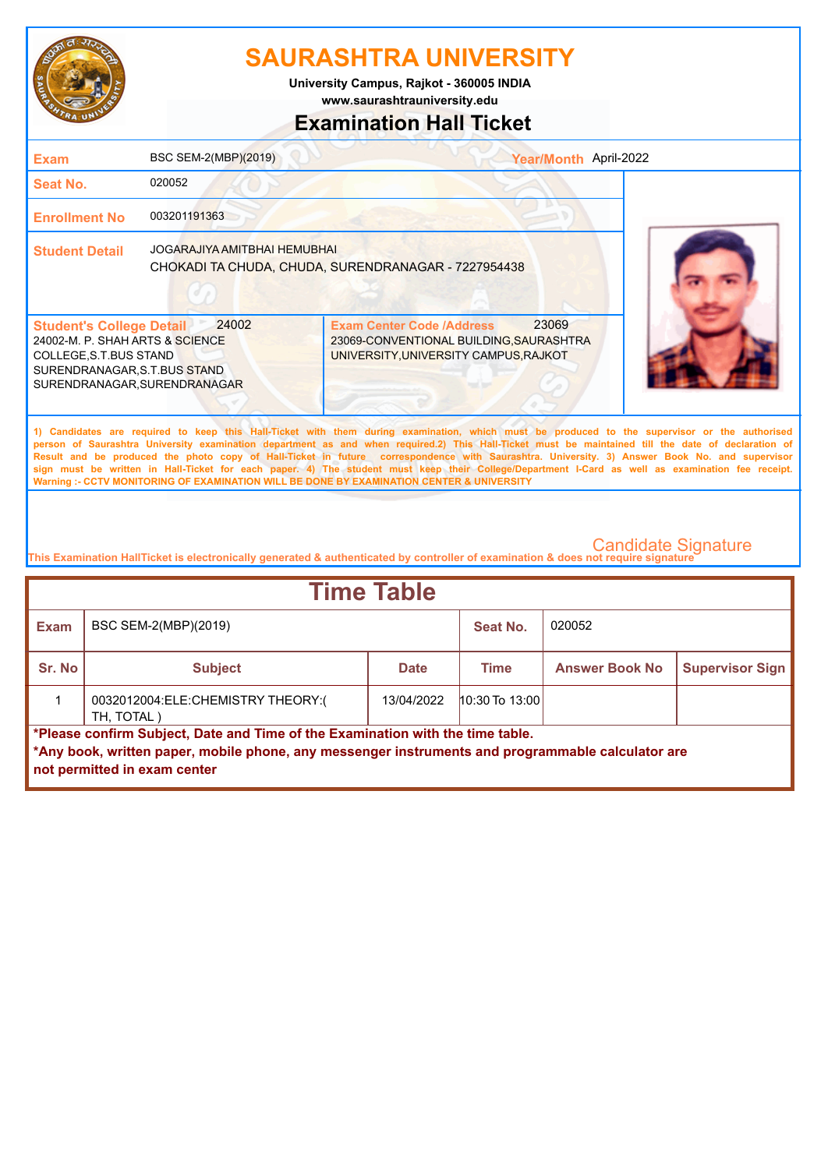

**www.saurashtrauniversity.edu University Campus, Rajkot - 360005 INDIA**

## **Examination Hall Ticket**

| <b>Exam</b>                                                                                                                                                  | BSC SEM-2(MBP)(2019)                | Year/Month April-2022                                                                                                                                                                                                                                                                                                                                                                                                                                                                                                                                                                                                                                                                               |  |
|--------------------------------------------------------------------------------------------------------------------------------------------------------------|-------------------------------------|-----------------------------------------------------------------------------------------------------------------------------------------------------------------------------------------------------------------------------------------------------------------------------------------------------------------------------------------------------------------------------------------------------------------------------------------------------------------------------------------------------------------------------------------------------------------------------------------------------------------------------------------------------------------------------------------------------|--|
| <b>Seat No.</b>                                                                                                                                              | 020052                              |                                                                                                                                                                                                                                                                                                                                                                                                                                                                                                                                                                                                                                                                                                     |  |
| <b>Enrollment No</b>                                                                                                                                         | 003201191363                        |                                                                                                                                                                                                                                                                                                                                                                                                                                                                                                                                                                                                                                                                                                     |  |
| <b>Student Detail</b>                                                                                                                                        | <b>JOGARAJIYA AMITBHAI HEMUBHAI</b> | CHOKADI TA CHUDA, CHUDA, SURENDRANAGAR - 7227954438                                                                                                                                                                                                                                                                                                                                                                                                                                                                                                                                                                                                                                                 |  |
| <b>Student's College Detail</b><br>24002-M. P. SHAH ARTS & SCIENCE<br>COLLEGE, S.T.BUS STAND<br>SURENDRANAGAR, S.T.BUS STAND<br>SURENDRANAGAR, SURENDRANAGAR | 24002                               | 23069<br><b>Exam Center Code /Address</b><br>23069-CONVENTIONAL BUILDING, SAURASHTRA<br>UNIVERSITY, UNIVERSITY CAMPUS, RAJKOT                                                                                                                                                                                                                                                                                                                                                                                                                                                                                                                                                                       |  |
|                                                                                                                                                              |                                     | 1) Candidates are required to keep this Hall-Ticket with them during examination, which must be produced to the supervisor or the authorised<br>person of Saurashtra University examination department as and when required.2) This Hall-Ticket must be maintained till the date of declaration of<br>Result and be produced the photo copy of Hall-Ticket in future correspondence with Saurashtra. University. 3) Answer Book No. and supervisor<br>sign must be written in Hall-Ticket for each paper. 4) The student must keep their College/Department I-Card as well as examination fee receipt.<br>Warning :- CCTV MONITORING OF EXAMINATION WILL BE DONE BY EXAMINATION CENTER & UNIVERSITY |  |
|                                                                                                                                                              |                                     |                                                                                                                                                                                                                                                                                                                                                                                                                                                                                                                                                                                                                                                                                                     |  |

| <b>Time Table</b>                                                                                                                                                                                                   |                                                                |            |                    |        |  |  |
|---------------------------------------------------------------------------------------------------------------------------------------------------------------------------------------------------------------------|----------------------------------------------------------------|------------|--------------------|--------|--|--|
| <b>Exam</b>                                                                                                                                                                                                         | BSC SEM-2(MBP)(2019)                                           |            | Seat No.           | 020052 |  |  |
| Sr. No                                                                                                                                                                                                              | <b>Answer Book No</b><br><b>Subject</b><br>Time<br><b>Date</b> |            |                    |        |  |  |
|                                                                                                                                                                                                                     | 0032012004:ELE:CHEMISTRY THEORY:(<br>TH, TOTAL)                | 13/04/2022 | $10:30$ To $13:00$ |        |  |  |
| *Please confirm Subject, Date and Time of the Examination with the time table.<br>*Any book, written paper, mobile phone, any messenger instruments and programmable calculator are<br>not permitted in exam center |                                                                |            |                    |        |  |  |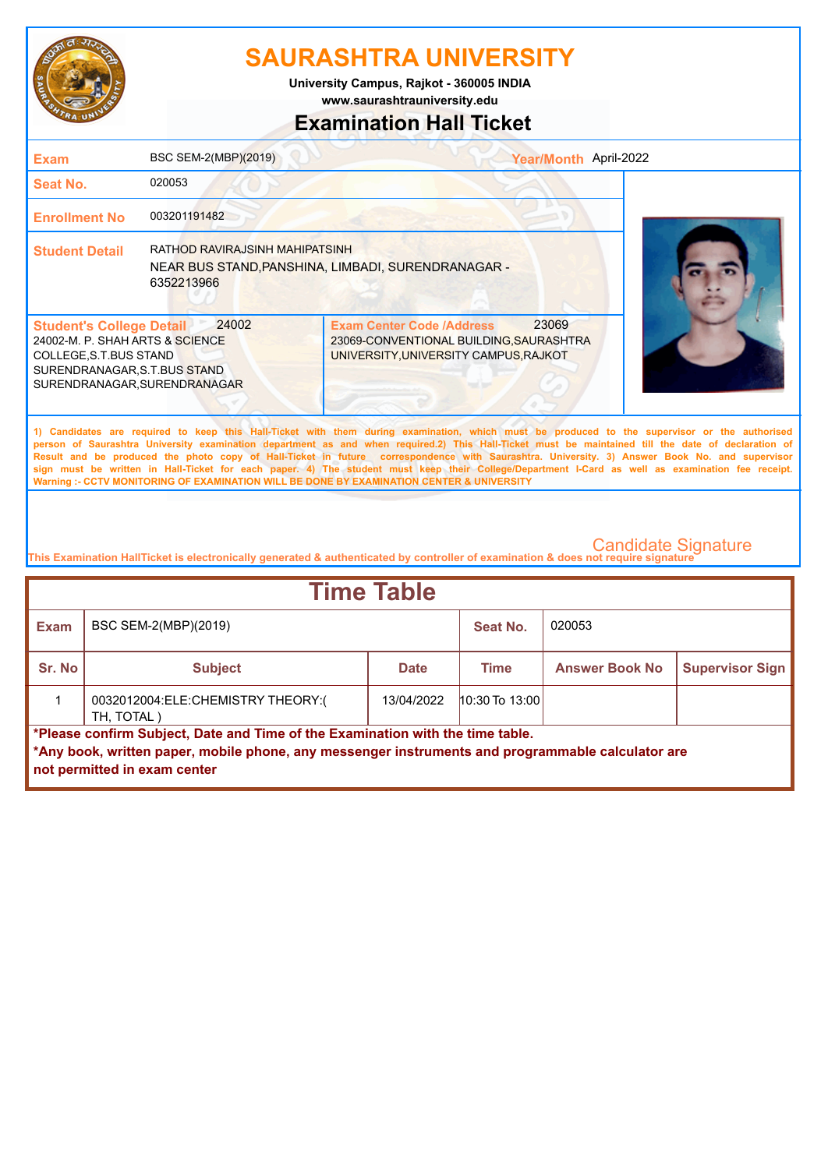

**www.saurashtrauniversity.edu University Campus, Rajkot - 360005 INDIA**

## **Examination Hall Ticket**

| <b>Exam</b>                                                                                                                                                  | BSC SEM-2(MBP)(2019)                         |                                                                                                                                                                                                                                                                                                                                                                                                                                                                                                                                                                                                                                                                                                     | Year/Month April-2022 |
|--------------------------------------------------------------------------------------------------------------------------------------------------------------|----------------------------------------------|-----------------------------------------------------------------------------------------------------------------------------------------------------------------------------------------------------------------------------------------------------------------------------------------------------------------------------------------------------------------------------------------------------------------------------------------------------------------------------------------------------------------------------------------------------------------------------------------------------------------------------------------------------------------------------------------------------|-----------------------|
| <b>Seat No.</b>                                                                                                                                              | 020053                                       |                                                                                                                                                                                                                                                                                                                                                                                                                                                                                                                                                                                                                                                                                                     |                       |
| <b>Enrollment No</b>                                                                                                                                         | 003201191482                                 |                                                                                                                                                                                                                                                                                                                                                                                                                                                                                                                                                                                                                                                                                                     |                       |
| <b>Student Detail</b>                                                                                                                                        | RATHOD RAVIRAJSINH MAHIPATSINH<br>6352213966 | NEAR BUS STAND, PANSHINA, LIMBADI, SURENDRANAGAR -                                                                                                                                                                                                                                                                                                                                                                                                                                                                                                                                                                                                                                                  |                       |
| <b>Student's College Detail</b><br>24002-M. P. SHAH ARTS & SCIENCE<br>COLLEGE, S.T.BUS STAND<br>SURENDRANAGAR, S.T.BUS STAND<br>SURENDRANAGAR, SURENDRANAGAR | 24002                                        | 23069<br><b>Exam Center Code /Address</b><br>23069-CONVENTIONAL BUILDING, SAURASHTRA<br>UNIVERSITY, UNIVERSITY CAMPUS, RAJKOT                                                                                                                                                                                                                                                                                                                                                                                                                                                                                                                                                                       |                       |
|                                                                                                                                                              |                                              | 1) Candidates are required to keep this Hall-Ticket with them during examination, which must be produced to the supervisor or the authorised<br>person of Saurashtra University examination department as and when required.2) This Hall-Ticket must be maintained till the date of declaration of<br>Result and be produced the photo copy of Hall-Ticket in future correspondence with Saurashtra. University. 3) Answer Book No. and supervisor<br>sign must be written in Hall-Ticket for each paper. 4) The student must keep their College/Department I-Card as well as examination fee receipt.<br>Warning :- CCTV MONITORING OF EXAMINATION WILL BE DONE BY EXAMINATION CENTER & UNIVERSITY |                       |

| <b>Time Table</b>                                                                                                                                                                                                   |                                                 |            |                       |                        |  |  |
|---------------------------------------------------------------------------------------------------------------------------------------------------------------------------------------------------------------------|-------------------------------------------------|------------|-----------------------|------------------------|--|--|
| <b>Exam</b>                                                                                                                                                                                                         | BSC SEM-2(MBP)(2019)                            |            | Seat No.              | 020053                 |  |  |
| Sr. No                                                                                                                                                                                                              | <b>Subject</b>                                  | Time       | <b>Answer Book No</b> | <b>Supervisor Sign</b> |  |  |
|                                                                                                                                                                                                                     | 0032012004:ELE:CHEMISTRY THEORY:(<br>TH, TOTAL) | 13/04/2022 | $10:30$ To $13:00$    |                        |  |  |
| *Please confirm Subject, Date and Time of the Examination with the time table.<br>*Any book, written paper, mobile phone, any messenger instruments and programmable calculator are<br>not permitted in exam center |                                                 |            |                       |                        |  |  |